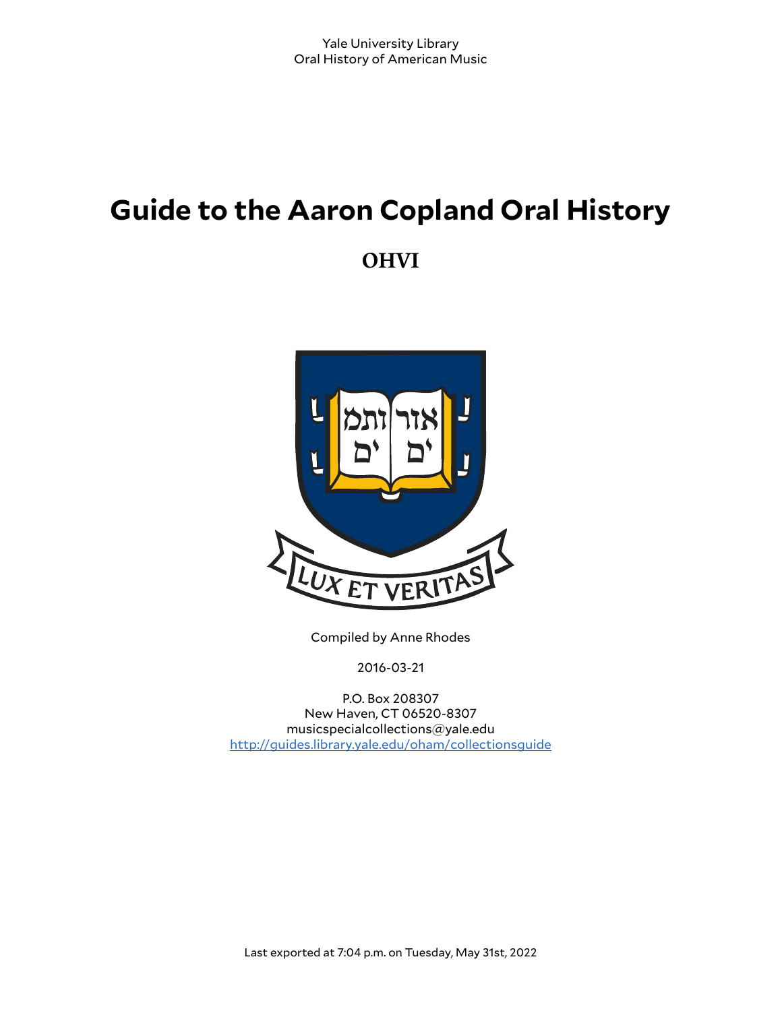# **Guide to the Aaron Copland Oral History**

**OHVI**



Compiled by Anne Rhodes

2016-03-21

P.O. Box 208307 New Haven, CT 06520-8307 musicspecialcollections@yale.edu <http://guides.library.yale.edu/oham/collectionsguide>

Last exported at 7:04 p.m. on Tuesday, May 31st, 2022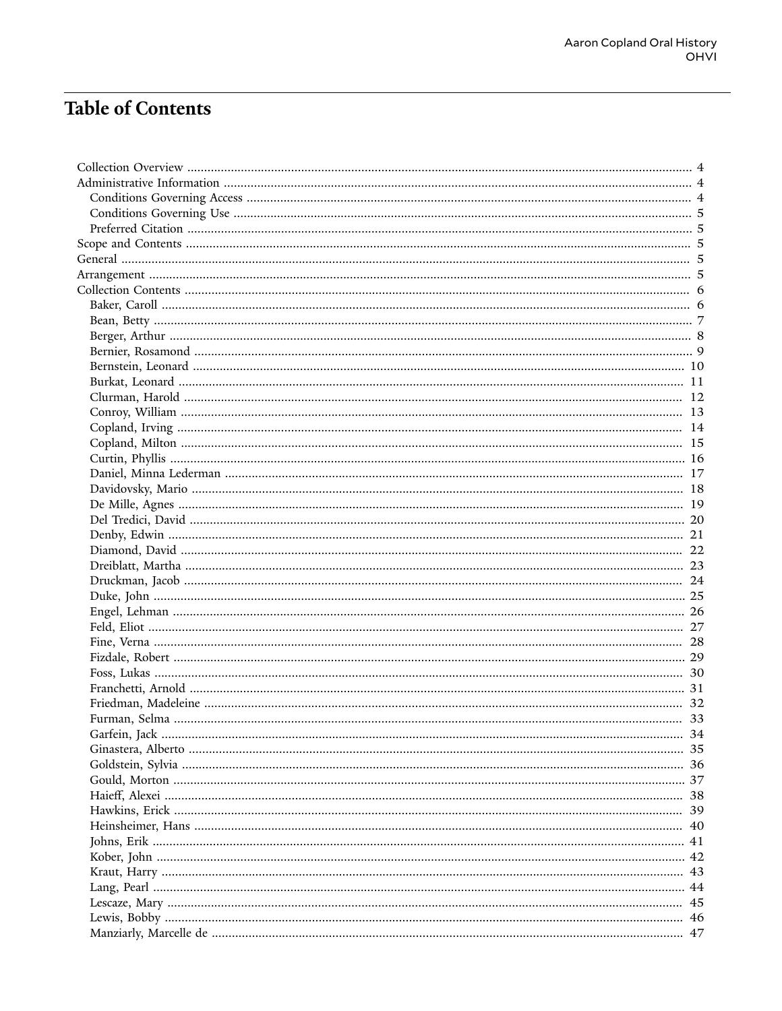# **Table of Contents**

| Garfein, Jack. | .34 |
|----------------|-----|
|                |     |
|                |     |
|                |     |
|                |     |
|                |     |
|                |     |
|                |     |
|                |     |
|                |     |
|                |     |
|                |     |
|                |     |
|                |     |
|                |     |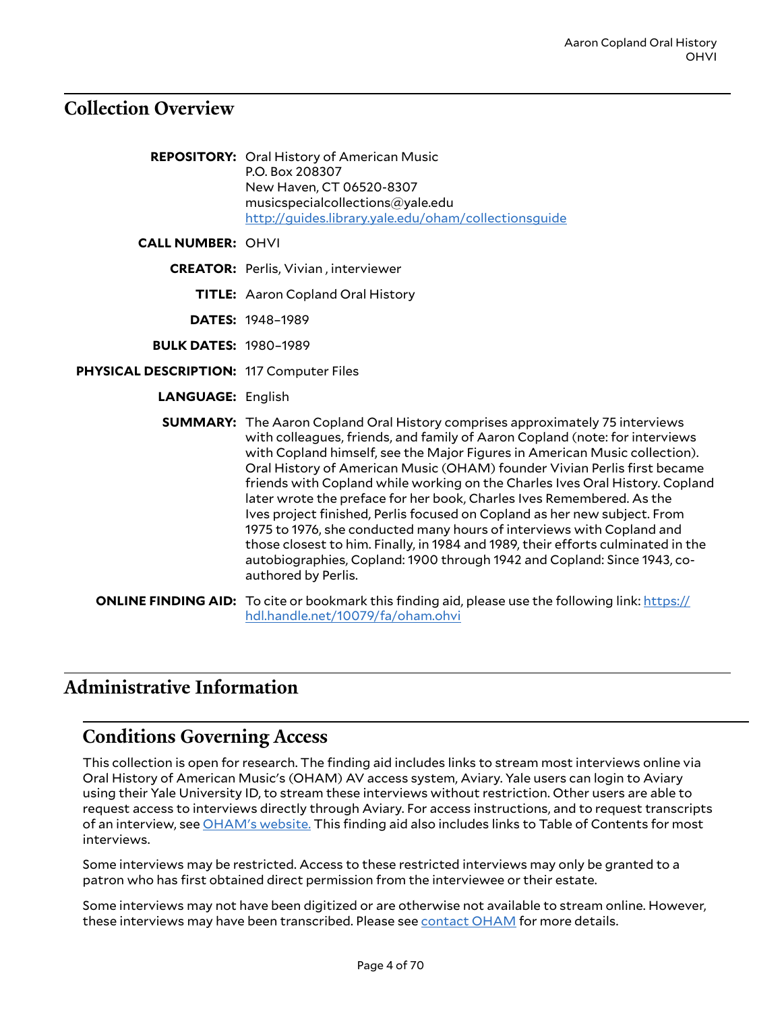# <span id="page-3-0"></span>**Collection Overview**

- **REPOSITORY:** Oral History of American Music P.O. Box 208307 New Haven, CT 06520-8307 musicspecialcollections@yale.edu <http://guides.library.yale.edu/oham/collectionsguide>
- **CALL NUMBER:** OHVI
	- **CREATOR:** Perlis, Vivian , interviewer
		- **TITLE:** Aaron Copland Oral History
		- **DATES:** 1948–1989
	- **BULK DATES:** 1980–1989
- **PHYSICAL DESCRIPTION:** 117 Computer Files
	- **LANGUAGE:** English
	- **SUMMARY:** The Aaron Copland Oral History comprises approximately 75 interviews with colleagues, friends, and family of Aaron Copland (note: for interviews with Copland himself, see the Major Figures in American Music collection). Oral History of American Music (OHAM) founder Vivian Perlis first became friends with Copland while working on the Charles Ives Oral History. Copland later wrote the preface for her book, Charles Ives Remembered. As the Ives project finished, Perlis focused on Copland as her new subject. From 1975 to 1976, she conducted many hours of interviews with Copland and those closest to him. Finally, in 1984 and 1989, their efforts culminated in the autobiographies, Copland: 1900 through 1942 and Copland: Since 1943, coauthored by Perlis.
	- **ONLINE FINDING AID:** To cite or bookmark this finding aid, please use the following link: [https://](https://hdl.handle.net/10079/fa/oham.ohvi) [hdl.handle.net/10079/fa/oham.ohvi](https://hdl.handle.net/10079/fa/oham.ohvi)

# <span id="page-3-1"></span>**Administrative Information**

#### <span id="page-3-2"></span>**Conditions Governing Access**

This collection is open for research. The finding aid includes links to stream most interviews online via Oral History of American Music's (OHAM) AV access system, Aviary. Yale users can login to Aviary using their Yale University ID, to stream these interviews without restriction. Other users are able to request access to interviews directly through Aviary. For access instructions, and to request transcripts of an interview, see [OHAM's](https://guides.library.yale.edu/oham/collectionsguide/access) website. This finding aid also includes links to Table of Contents for most interviews.

Some interviews may be restricted. Access to these restricted interviews may only be granted to a patron who has first obtained direct permission from the interviewee or their estate.

Some interviews may not have been digitized or are otherwise not available to stream online. However, these interviews may have been transcribed. Please see [contact](mailto:musicreproductionrequests@yale.edu) OHAM for more details.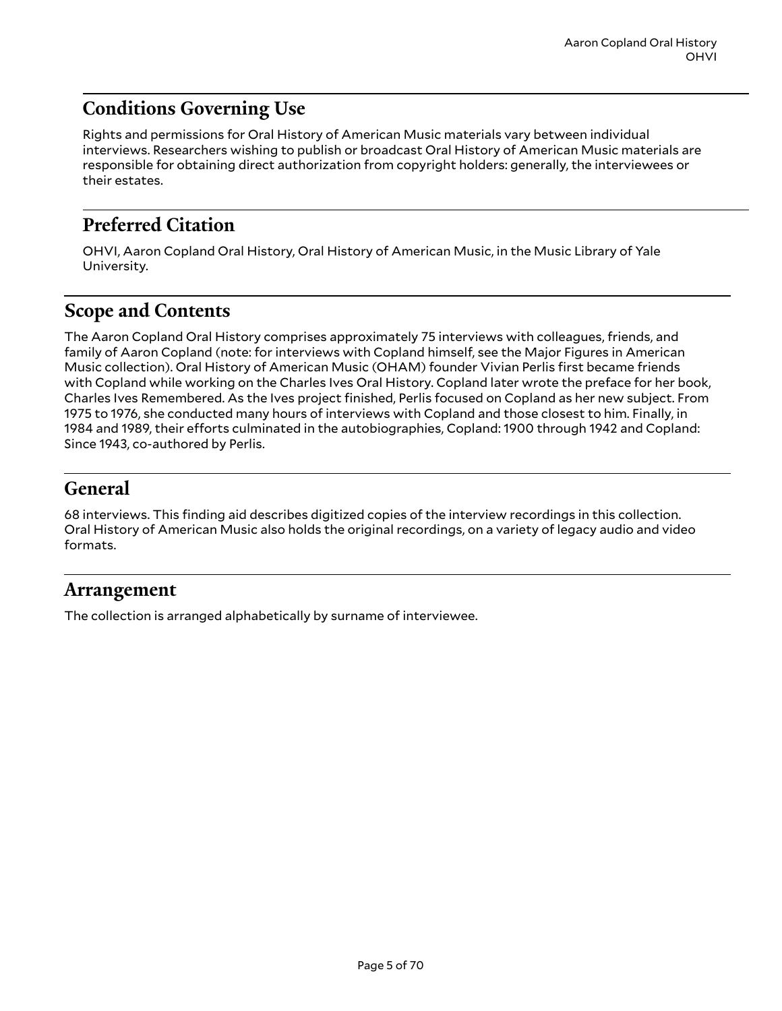# <span id="page-4-0"></span>**Conditions Governing Use**

Rights and permissions for Oral History of American Music materials vary between individual interviews. Researchers wishing to publish or broadcast Oral History of American Music materials are responsible for obtaining direct authorization from copyright holders: generally, the interviewees or their estates.

# <span id="page-4-1"></span>**Preferred Citation**

OHVI, Aaron Copland Oral History, Oral History of American Music, in the Music Library of Yale University.

# <span id="page-4-2"></span>**Scope and Contents**

The Aaron Copland Oral History comprises approximately 75 interviews with colleagues, friends, and family of Aaron Copland (note: for interviews with Copland himself, see the Major Figures in American Music collection). Oral History of American Music (OHAM) founder Vivian Perlis first became friends with Copland while working on the Charles Ives Oral History. Copland later wrote the preface for her book, Charles Ives Remembered. As the Ives project finished, Perlis focused on Copland as her new subject. From 1975 to 1976, she conducted many hours of interviews with Copland and those closest to him. Finally, in 1984 and 1989, their efforts culminated in the autobiographies, Copland: 1900 through 1942 and Copland: Since 1943, co-authored by Perlis.

## <span id="page-4-3"></span>**General**

68 interviews. This finding aid describes digitized copies of the interview recordings in this collection. Oral History of American Music also holds the original recordings, on a variety of legacy audio and video formats.

#### <span id="page-4-4"></span>**Arrangement**

The collection is arranged alphabetically by surname of interviewee.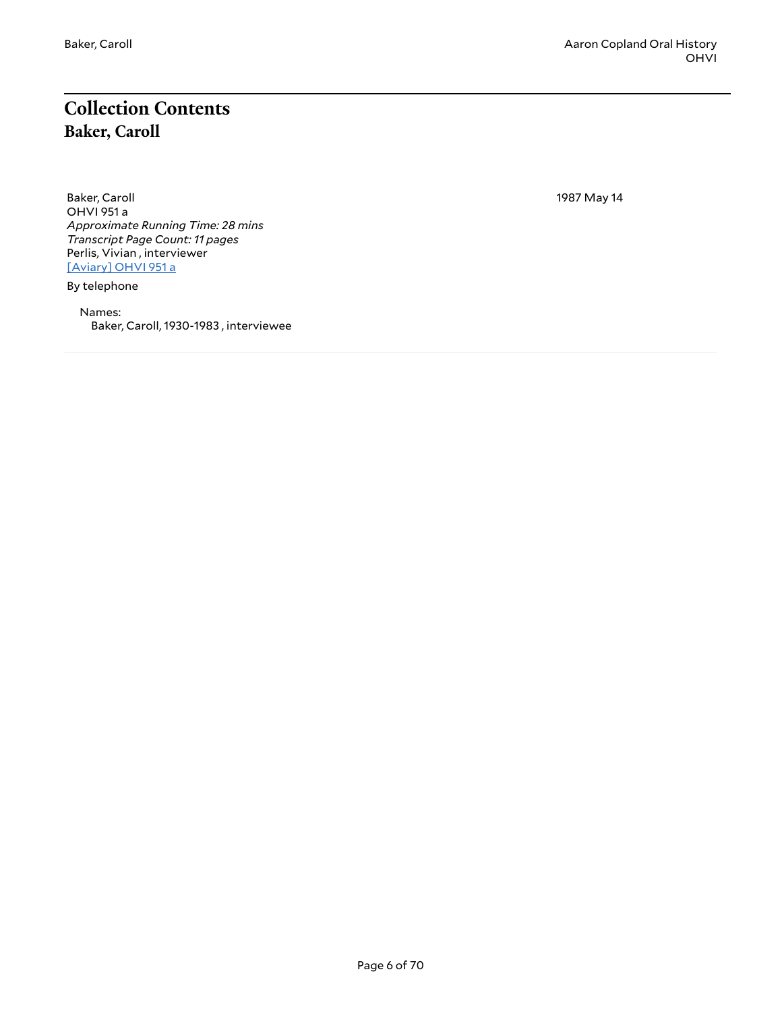# <span id="page-5-1"></span><span id="page-5-0"></span>**Collection Contents Baker, Caroll**

Baker, Caroll OHVI 951 a *Approximate Running Time: 28 mins Transcript Page Count: 11 pages* Perlis, Vivian , interviewer [\[Aviary\]](https://yalemusiclib.aviaryplatform.com/r/2n4zg6g62z) OHVI 951 a

By telephone

Names: Baker, Caroll, 1930-1983 , interviewee 1987 May 14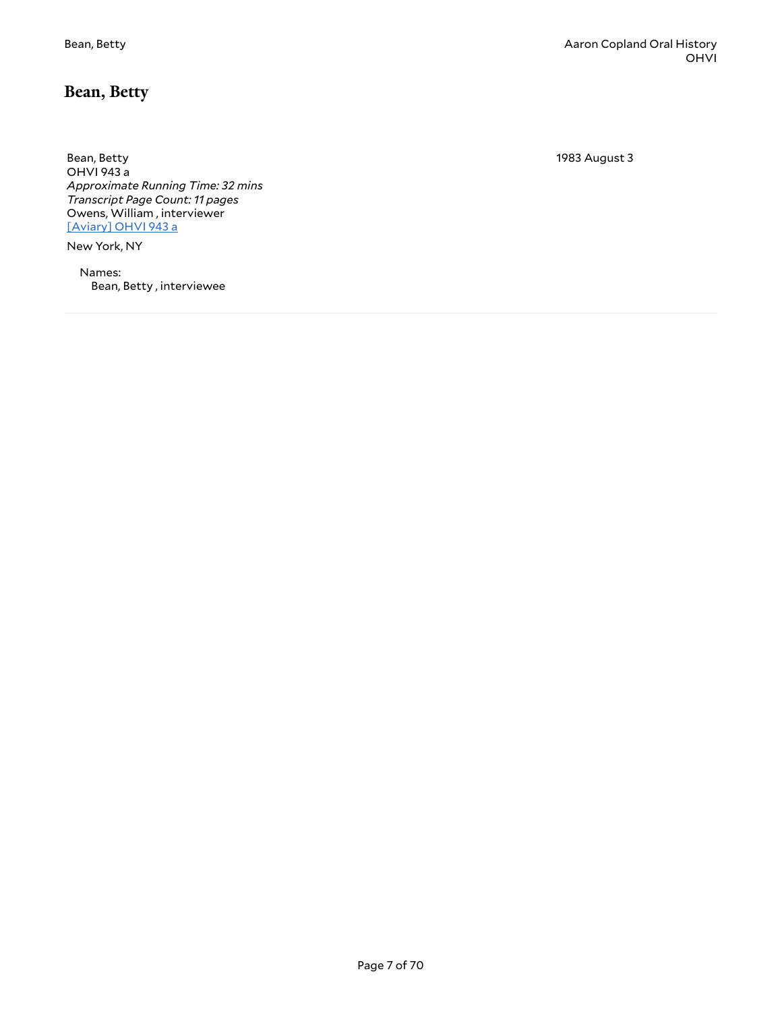#### <span id="page-6-0"></span>**Bean, Betty**

Bean, Betty OHVI 943 a *Approximate Running Time: 32 mins Transcript Page Count: 11 pages* Owens, William , interviewer [\[Aviary\]](https://yalemusiclib.aviaryplatform.com/r/901zc7rv70) OHVI 943 a

New York, NY

Names: Bean, Betty , interviewee 1983 August 3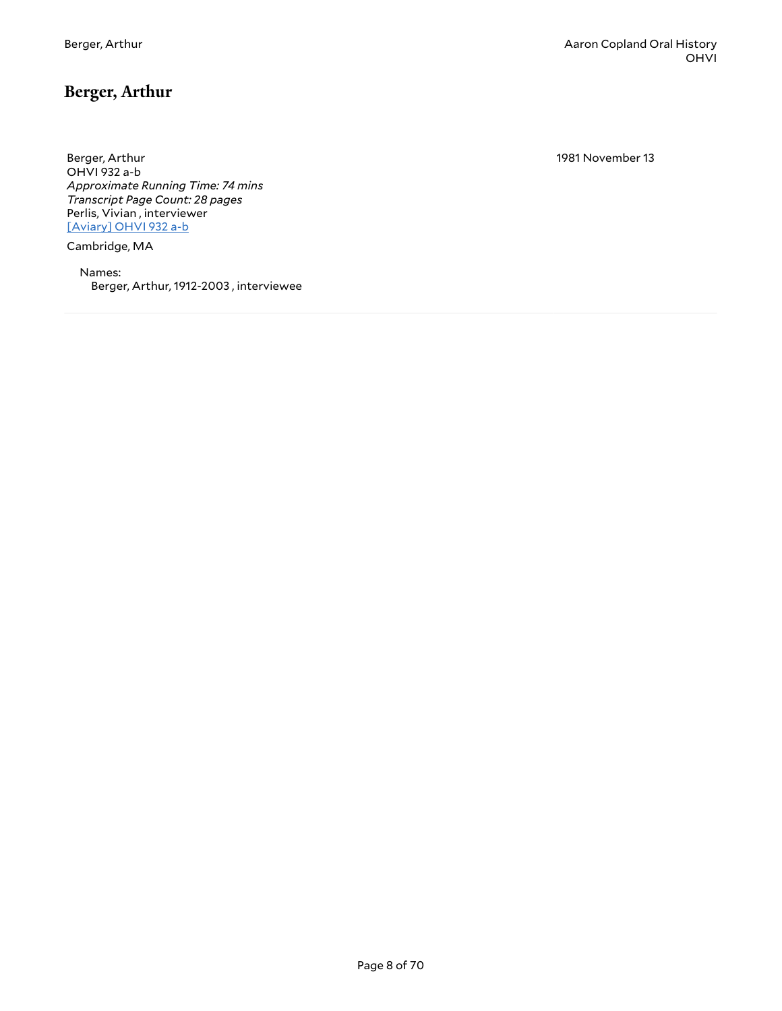<span id="page-7-0"></span>Berger, Arthur OHVI 932 a-b *Approximate Running Time: 74 mins Transcript Page Count: 28 pages* Perlis, Vivian , interviewer [\[Aviary\]](https://yalemusiclib.aviaryplatform.com/r/fx73t9dg62) OHVI 932 a-b

Cambridge, MA

Names: Berger, Arthur, 1912-2003 , interviewee 1981 November 13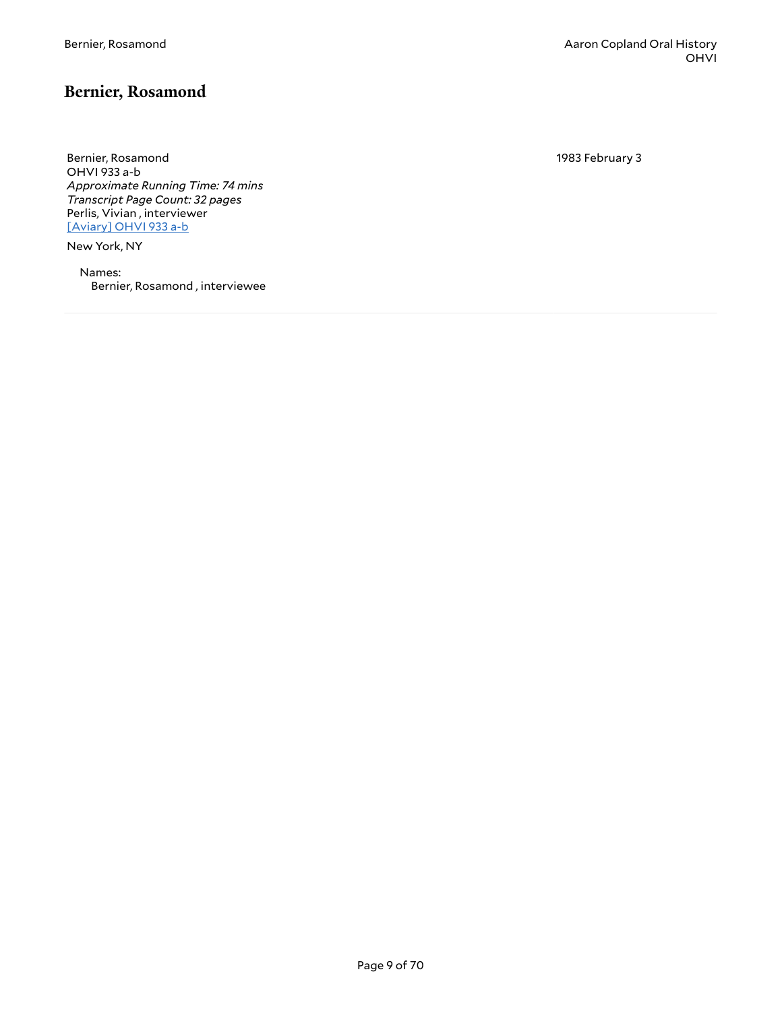#### <span id="page-8-0"></span>**Bernier, Rosamond**

Bernier, Rosamond OHVI 933 a-b *Approximate Running Time: 74 mins Transcript Page Count: 32 pages* Perlis, Vivian , interviewer [\[Aviary\]](https://yalemusiclib.aviaryplatform.com/r/cj87h1dt9c) OHVI 933 a-b

New York, NY

Names: Bernier, Rosamond , interviewee 1983 February 3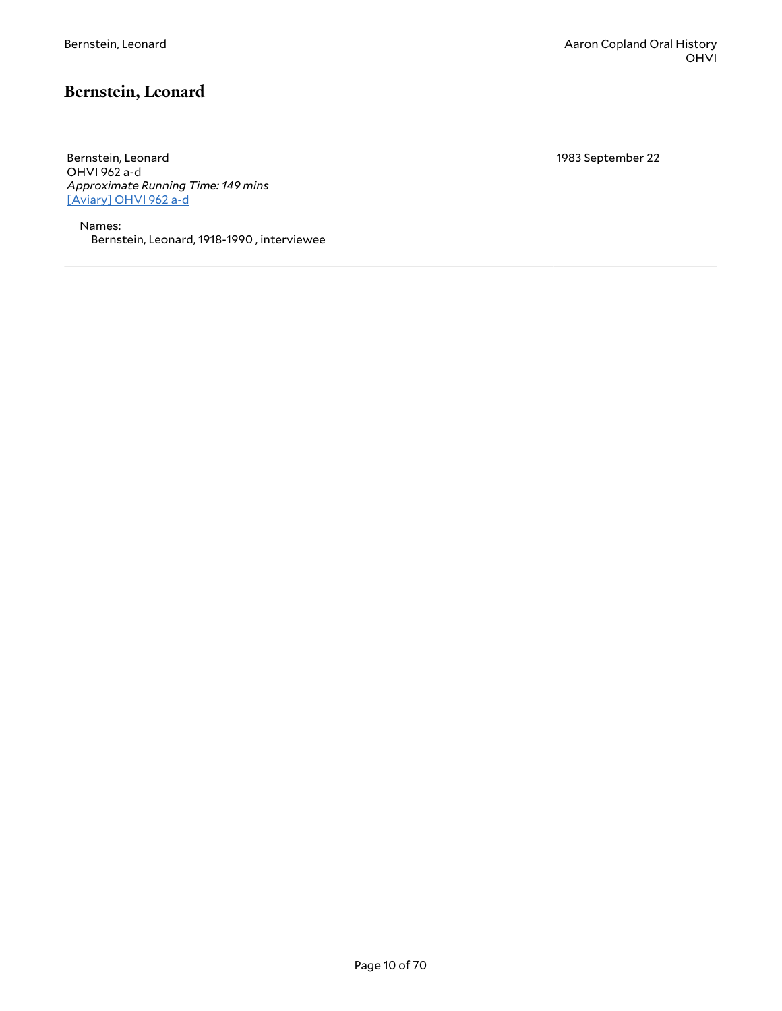# <span id="page-9-0"></span>**Bernstein, Leonard**

Bernstein, Leonard OHVI 962 a-d *Approximate Running Time: 149 mins* [\[Aviary\]](https://yalemusiclib.aviaryplatform.com/r/ht2g737c15) OHVI 962 a-d

Names: Bernstein, Leonard, 1918-1990 , interviewee 1983 September 22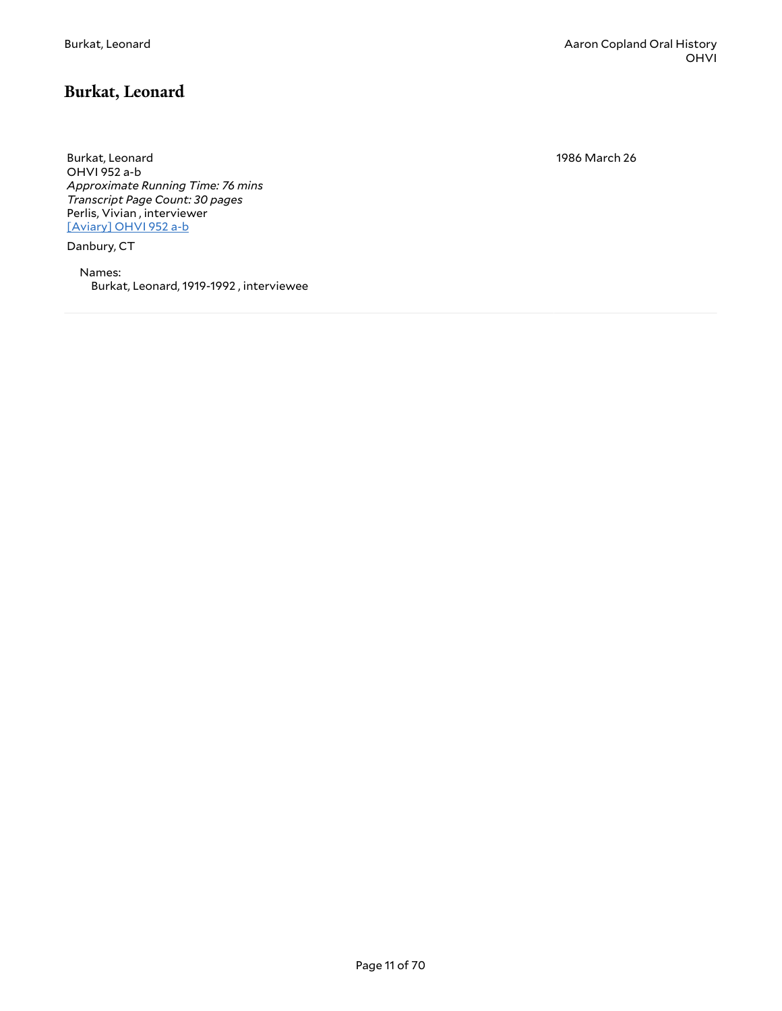## <span id="page-10-0"></span>**Burkat, Leonard**

Burkat, Leonard OHVI 952 a-b *Approximate Running Time: 76 mins Transcript Page Count: 30 pages* Perlis, Vivian , interviewer [\[Aviary\]](https://yalemusiclib.aviaryplatform.com/r/js9h41jt80) OHVI 952 a-b

Danbury, CT

Names: Burkat, Leonard, 1919-1992 , interviewee 1986 March 26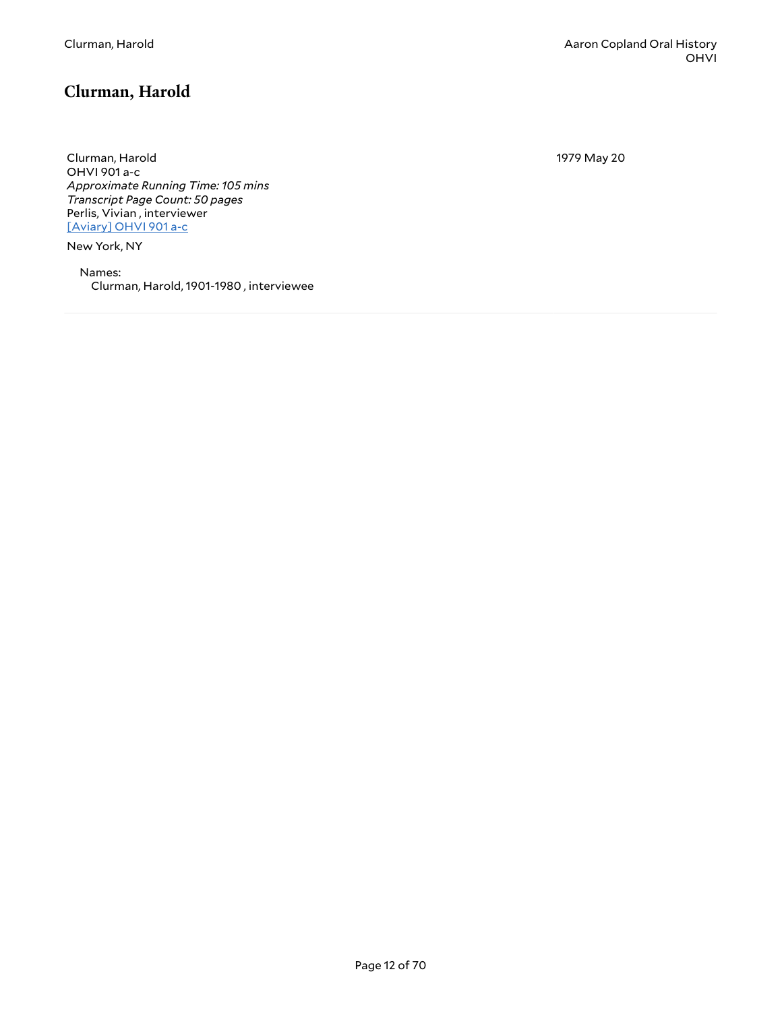# <span id="page-11-0"></span>**Clurman, Harold**

Clurman, Harold OHVI 901 a-c *Approximate Running Time: 105 mins Transcript Page Count: 50 pages* Perlis, Vivian , interviewer [\[Aviary\]](https://yalemusiclib.aviaryplatform.com/r/cj87h1dv0v) OHVI 901 a-c

New York, NY

Names: Clurman, Harold, 1901-1980 , interviewee 1979 May 20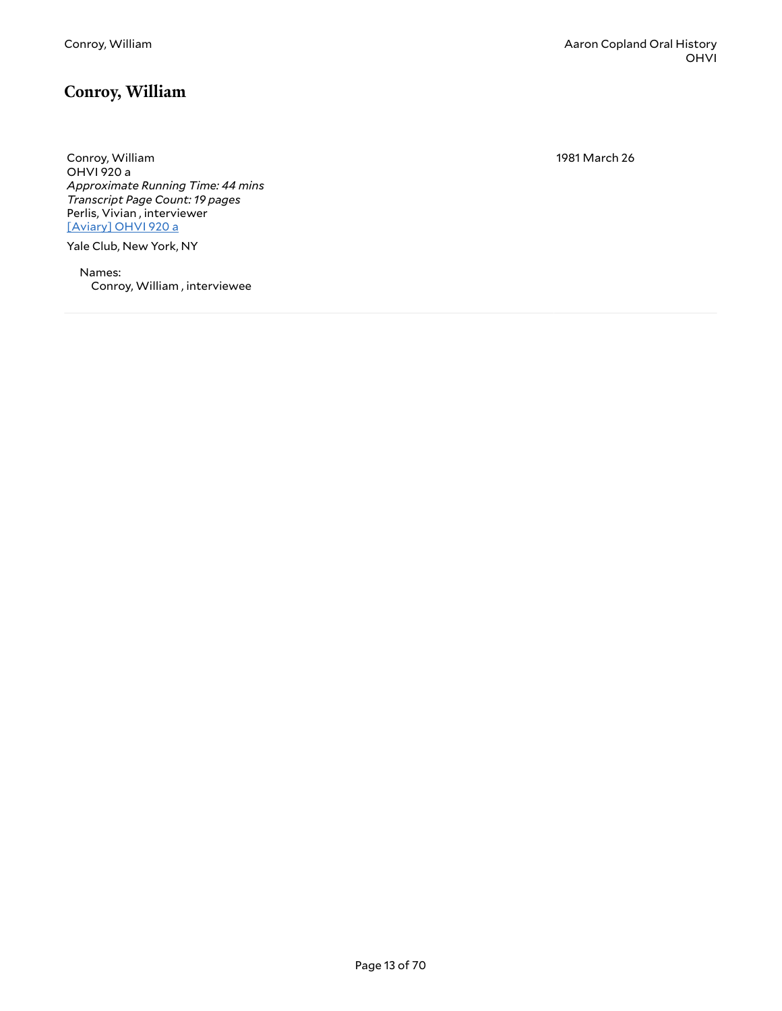#### <span id="page-12-0"></span>**Conroy, William**

Conroy, William OHVI 920 a *Approximate Running Time: 44 mins Transcript Page Count: 19 pages* Perlis, Vivian , interviewer [\[Aviary\]](https://yalemusiclib.aviaryplatform.com/r/jh3cz32d84) OHVI 920 a

Yale Club, New York, NY

Names: Conroy, William , interviewee 1981 March 26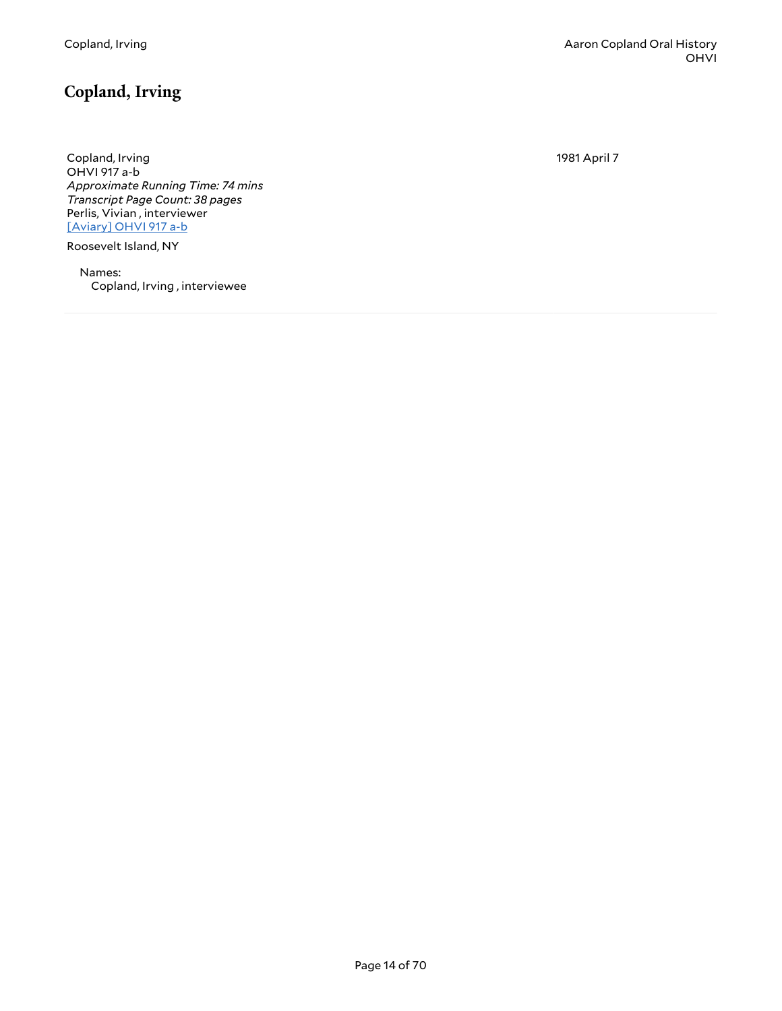# <span id="page-13-0"></span>**Copland, Irving**

Copland, Irving OHVI 917 a-b *Approximate Running Time: 74 mins Transcript Page Count: 38 pages* Perlis, Vivian , interviewer [\[Aviary\]](https://yalemusiclib.aviaryplatform.com/r/vx05x25s9t) OHVI 917 a-b

Roosevelt Island, NY

Names: Copland, Irving , interviewee 1981 April 7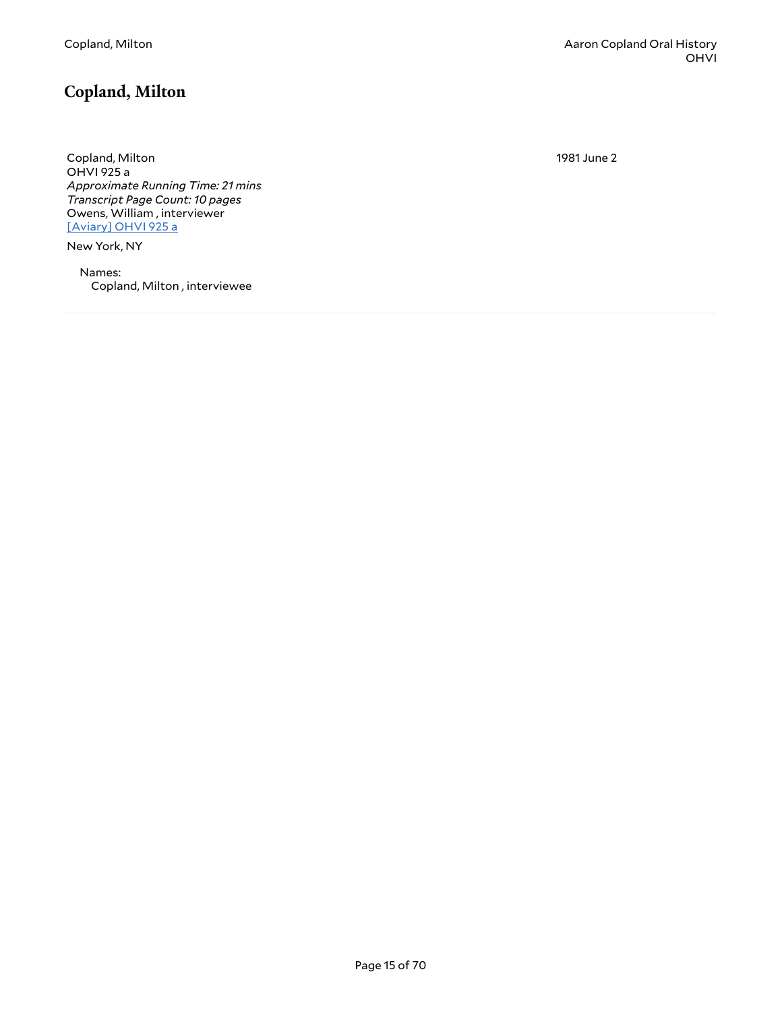## <span id="page-14-0"></span>**Copland, Milton**

Copland, Milton OHVI 925 a *Approximate Running Time: 21 mins Transcript Page Count: 10 pages* Owens, William , interviewer [\[Aviary\]](https://yalemusiclib.aviaryplatform.com/r/057cr5nc5k) OHVI 925 a

New York, NY

Names: Copland, Milton , interviewee 1981 June 2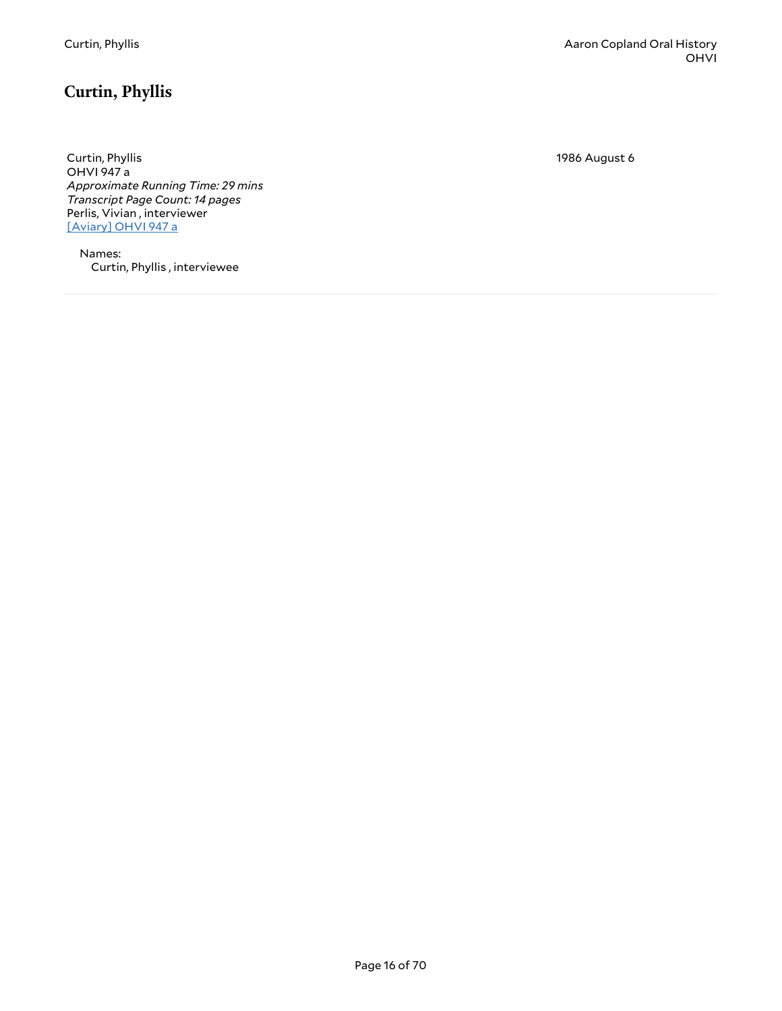# <span id="page-15-0"></span>**Curtin, Phyllis**

Curtin, Phyllis OHVI 947 a *Approximate Running Time: 29 mins Transcript Page Count: 14 pages* Perlis, Vivian , interviewer [\[Aviary\]](https://yalemusiclib.aviaryplatform.com/r/cz3222rg14) OHVI 947 a

Names: Curtin, Phyllis , interviewee 1986 August 6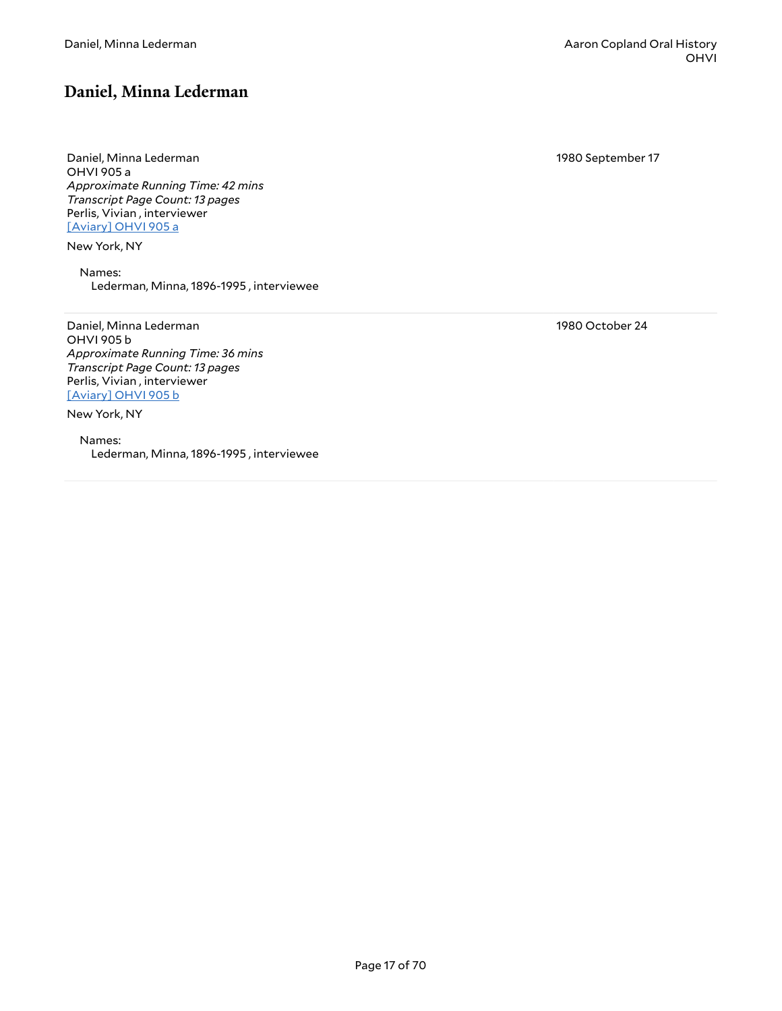#### <span id="page-16-0"></span>**Daniel, Minna Lederman**

Daniel, Minna Lederman OHVI 905 a *Approximate Running Time: 42 mins Transcript Page Count: 13 pages* Perlis, Vivian , interviewer [\[Aviary\]](https://yalemusiclib.aviaryplatform.com/r/st7dr2pm2f) OHVI 905 a

New York, NY

Names: Lederman, Minna, 1896-1995 , interviewee

Daniel, Minna Lederman OHVI 905 b *Approximate Running Time: 36 mins Transcript Page Count: 13 pages* Perlis, Vivian , interviewer [\[Aviary\]](https://yalemusiclib.aviaryplatform.com/r/2804x54j8q) OHVI 905 b

New York, NY

Names: Lederman, Minna, 1896-1995 , interviewee 1980 September 17

1980 October 24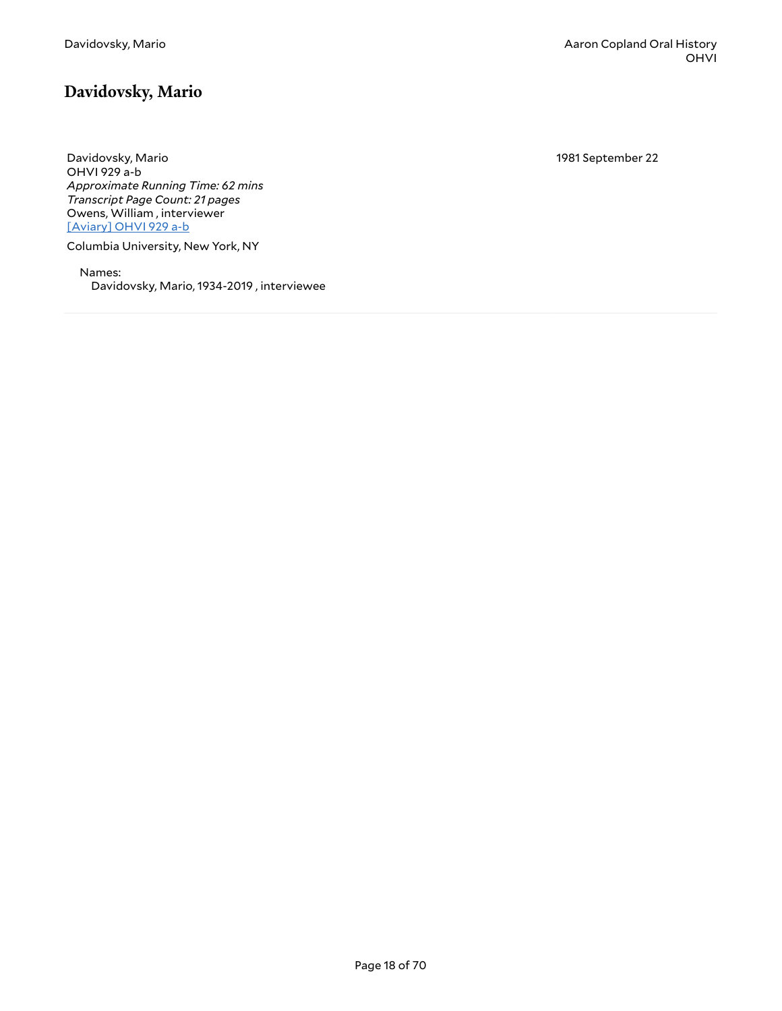## <span id="page-17-0"></span>**Davidovsky, Mario**

Davidovsky, Mario OHVI 929 a-b *Approximate Running Time: 62 mins Transcript Page Count: 21 pages* Owens, William , interviewer [\[Aviary\]](https://yalemusiclib.aviaryplatform.com/r/cj87h1dv15) OHVI 929 a-b

Columbia University, New York, NY

Names: Davidovsky, Mario, 1934-2019 , interviewee 1981 September 22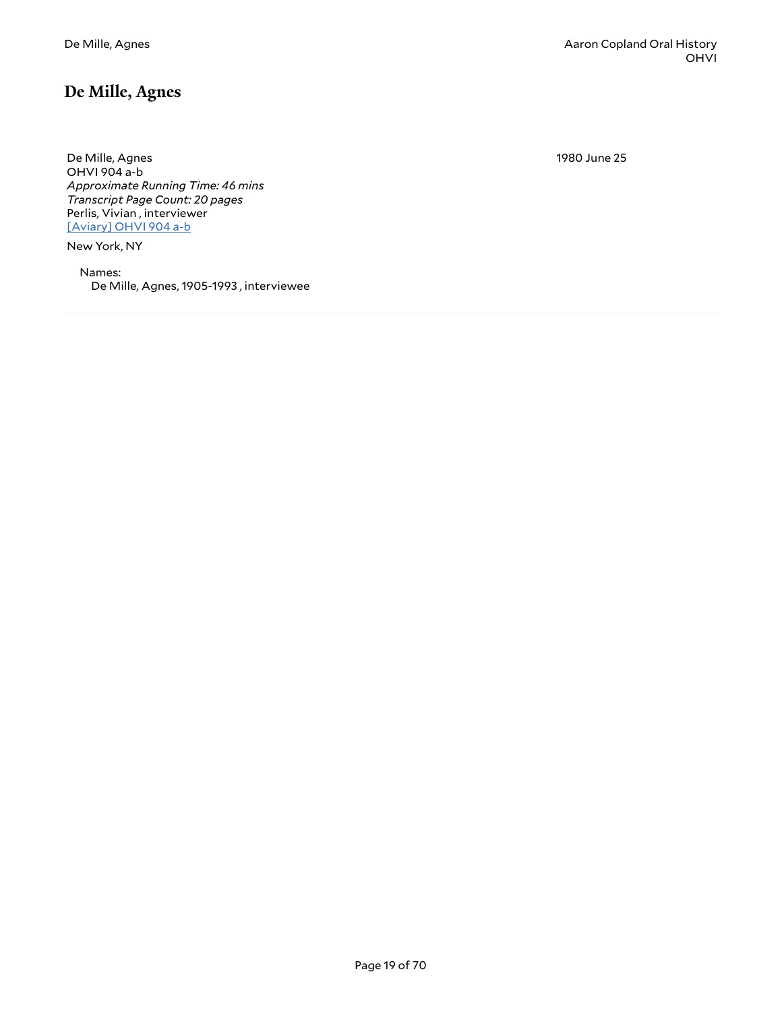#### <span id="page-18-0"></span>**De Mille, Agnes**

De Mille, Agnes OHVI 904 a-b *Approximate Running Time: 46 mins Transcript Page Count: 20 pages* Perlis, Vivian , interviewer [\[Aviary\]](https://yalemusiclib.aviaryplatform.com/r/vx05x25t09) OHVI 904 a-b

New York, NY

Names: De Mille, Agnes, 1905-1993 , interviewee 1980 June 25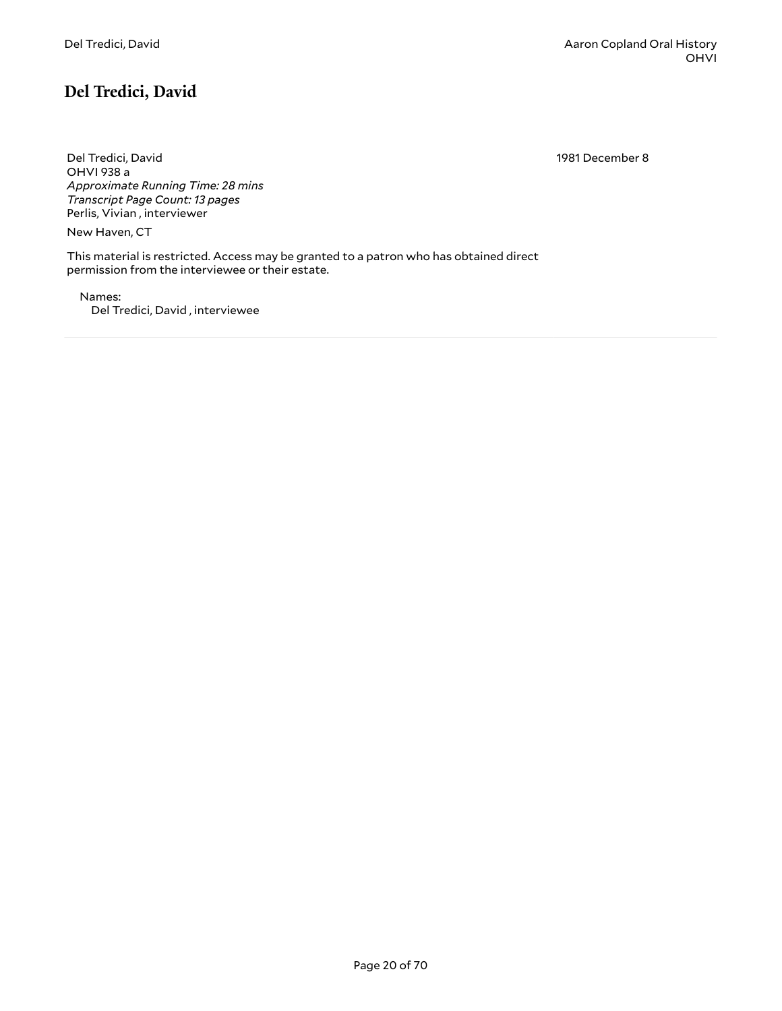# <span id="page-19-0"></span>**Del Tredici, David**

1981 December 8

Del Tredici, David OHVI 938 a *Approximate Running Time: 28 mins Transcript Page Count: 13 pages* Perlis, Vivian , interviewer

New Haven, CT

This material is restricted. Access may be granted to a patron who has obtained direct permission from the interviewee or their estate.

Names: Del Tredici, David , interviewee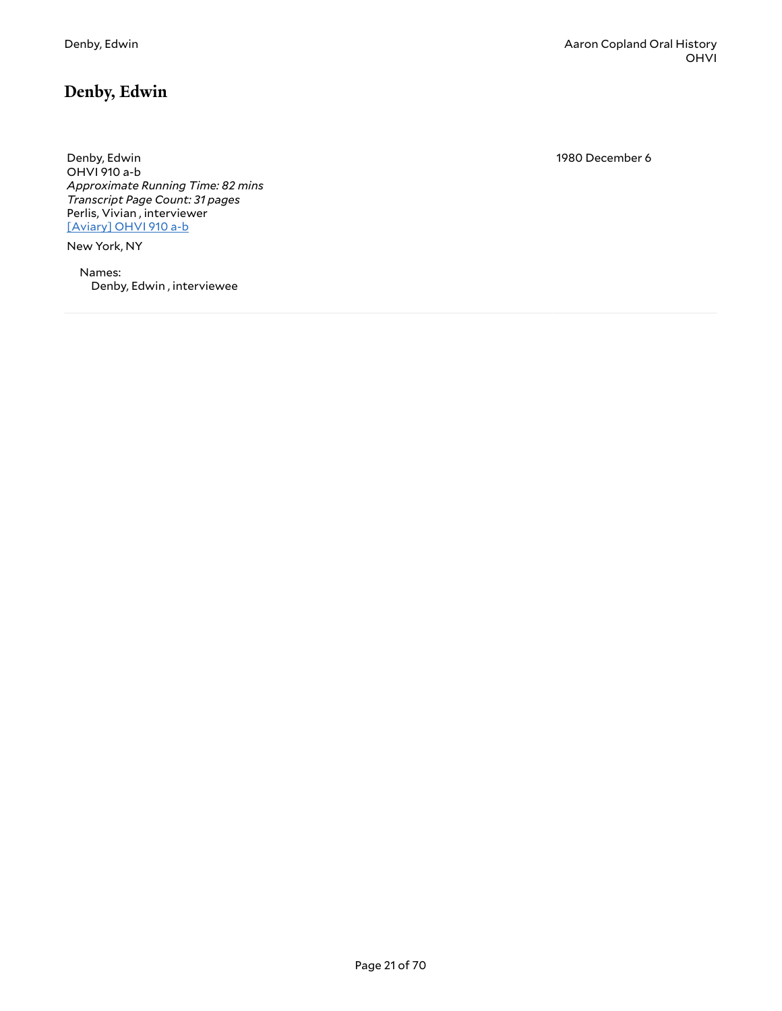# <span id="page-20-0"></span>**Denby, Edwin**

Denby, Edwin OHVI 910 a-b *Approximate Running Time: 82 mins Transcript Page Count: 31 pages* Perlis, Vivian , interviewer [\[Aviary\]](https://yalemusiclib.aviaryplatform.com/r/ks6j09wd69) OHVI 910 a-b

New York, NY

Names: Denby, Edwin , interviewee 1980 December 6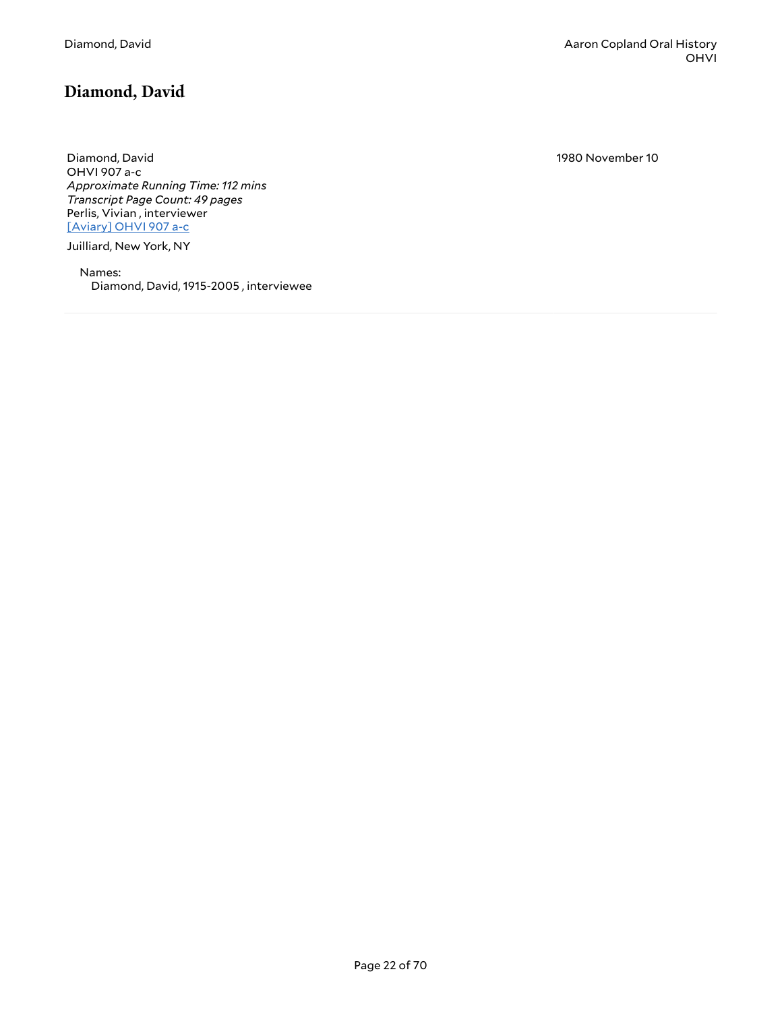# <span id="page-21-0"></span>**Diamond, David**

Diamond, David OHVI 907 a-c *Approximate Running Time: 112 mins Transcript Page Count: 49 pages* Perlis, Vivian , interviewer [\[Aviary\]](https://yalemusiclib.aviaryplatform.com/r/q52f766h6z) OHVI 907 a-c

Juilliard, New York, NY

Names: Diamond, David, 1915-2005 , interviewee 1980 November 10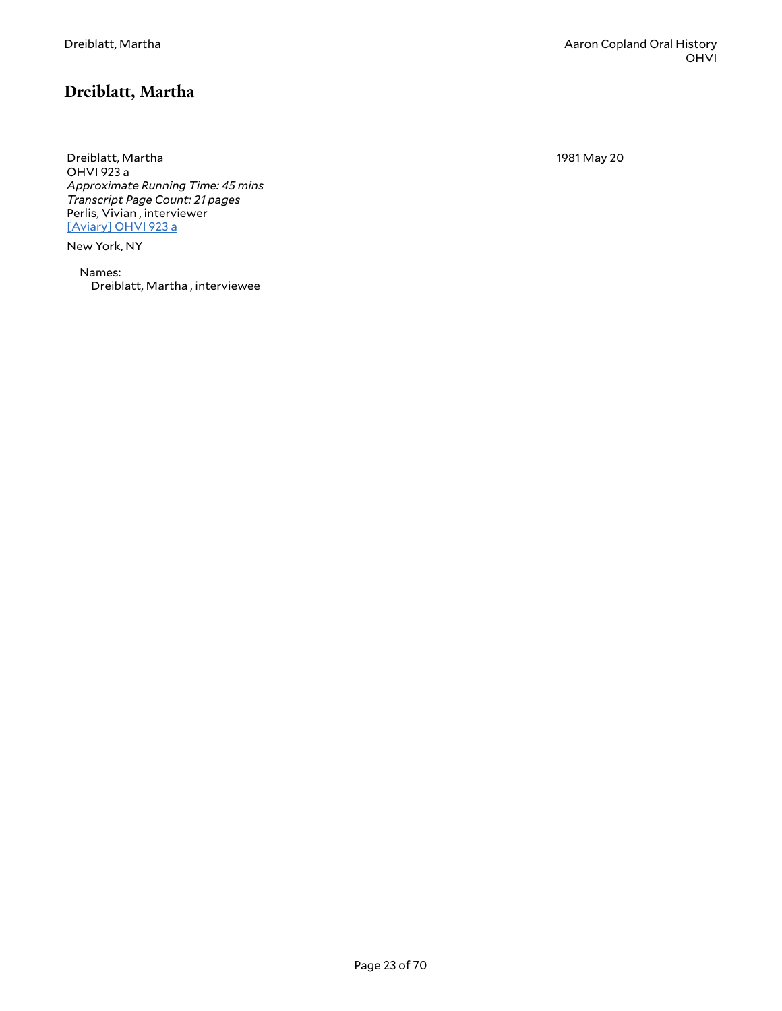## <span id="page-22-0"></span>**Dreiblatt, Martha**

Dreiblatt, Martha OHVI 923 a *Approximate Running Time: 45 mins Transcript Page Count: 21 pages* Perlis, Vivian , interviewer [\[Aviary\]](https://yalemusiclib.aviaryplatform.com/r/862b853n56) OHVI 923 a

New York, NY

Names: Dreiblatt, Martha , interviewee 1981 May 20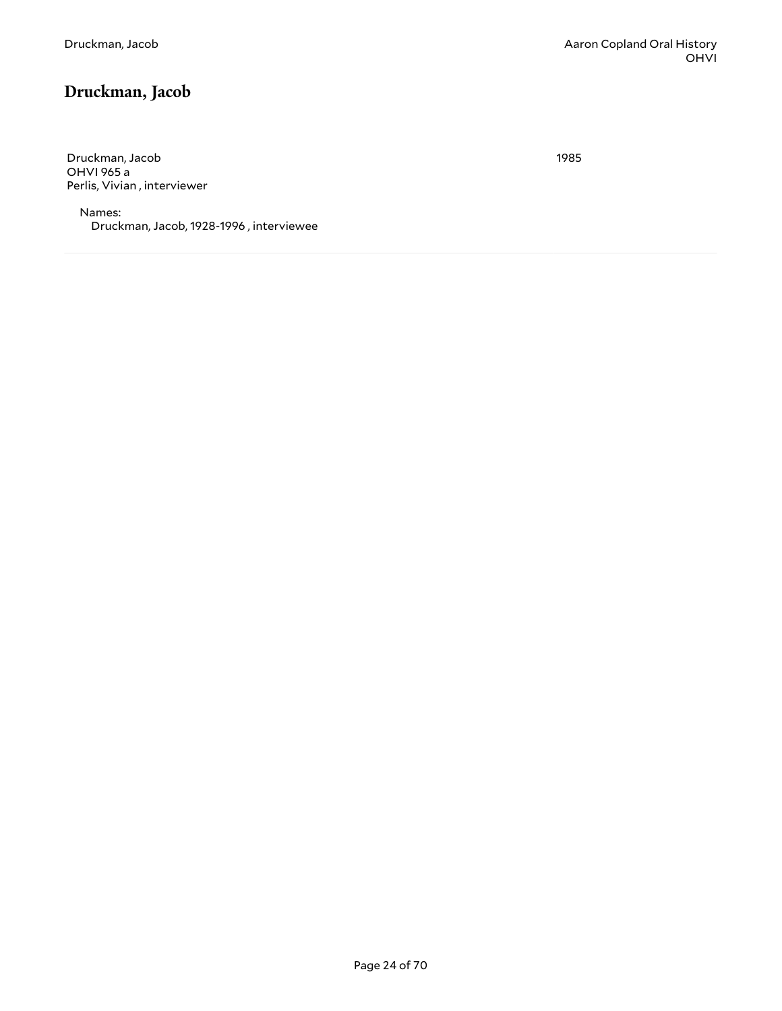# <span id="page-23-0"></span>**Druckman, Jacob**

Druckman, Jacob OHVI 965 a Perlis, Vivian , interviewer

Names: Druckman, Jacob, 1928-1996 , interviewee 1985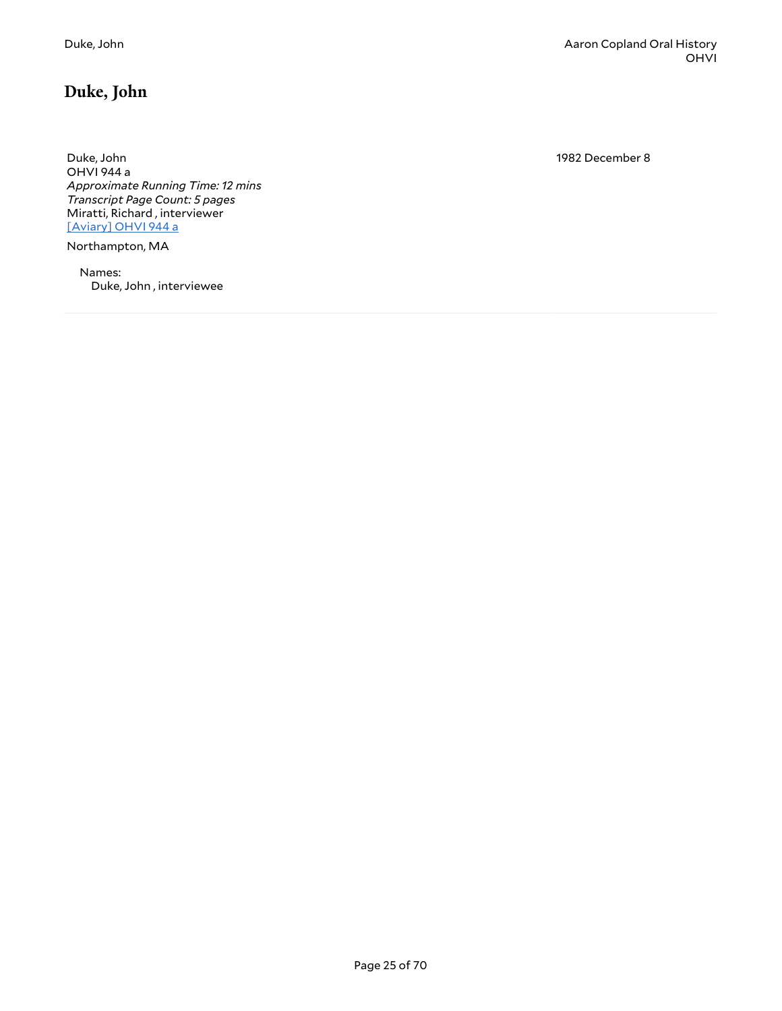# <span id="page-24-0"></span>**Duke, John**

Duke, John OHVI 944 a *Approximate Running Time: 12 mins Transcript Page Count: 5 pages* Miratti, Richard , interviewer [\[Aviary\]](https://yalemusiclib.aviaryplatform.com/r/s46h12vm5w) OHVI 944 a

Northampton, MA

Names: Duke, John , interviewee 1982 December 8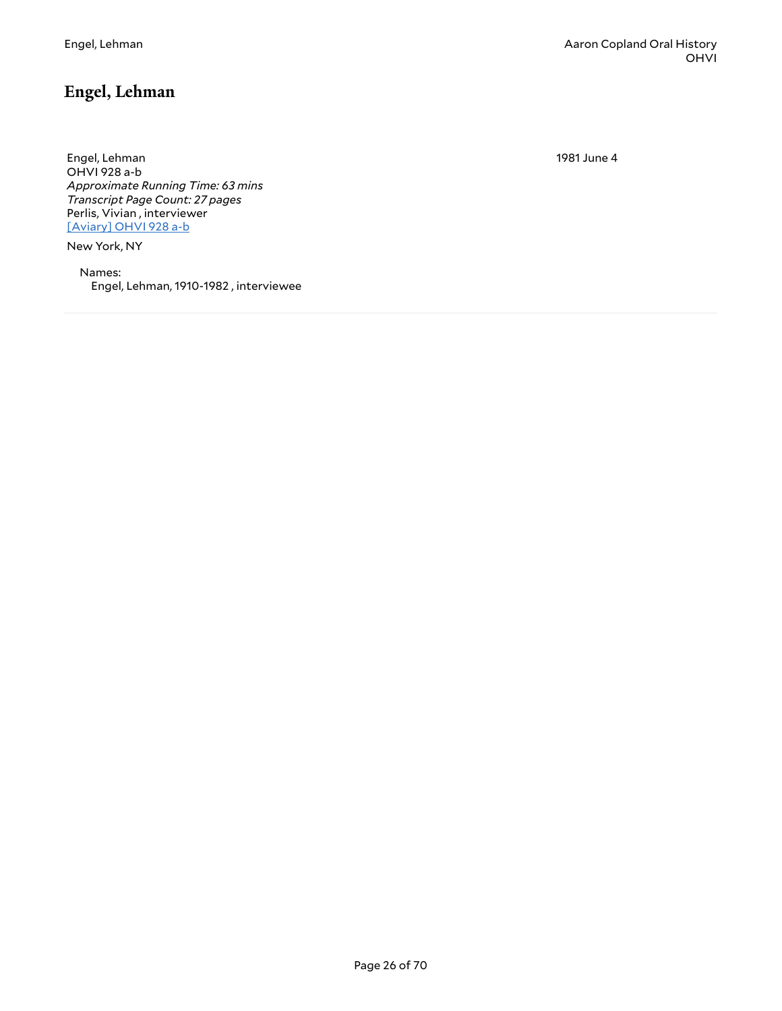## <span id="page-25-0"></span>**Engel, Lehman**

1981 June 4

Engel, Lehman OHVI 928 a-b *Approximate Running Time: 63 mins Transcript Page Count: 27 pages* Perlis, Vivian , interviewer [\[Aviary\]](https://yalemusiclib.aviaryplatform.com/r/6688g8fn47) OHVI 928 a-b

New York, NY

Names: Engel, Lehman, 1910-1982 , interviewee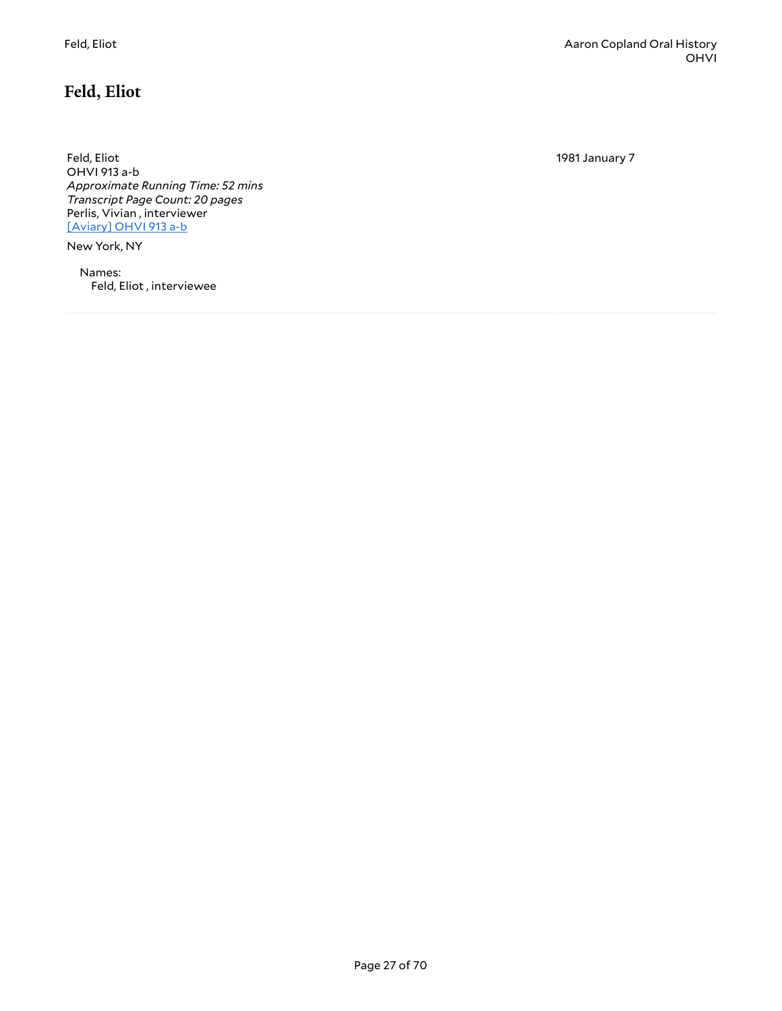<span id="page-26-0"></span>Feld, Eliot OHVI 913 a-b *Approximate Running Time: 52 mins Transcript Page Count: 20 pages* Perlis, Vivian , interviewer [\[Aviary\]](https://yalemusiclib.aviaryplatform.com/r/804xg9fb9c) OHVI 913 a-b

New York, NY

Names: Feld, Eliot , interviewee 1981 January 7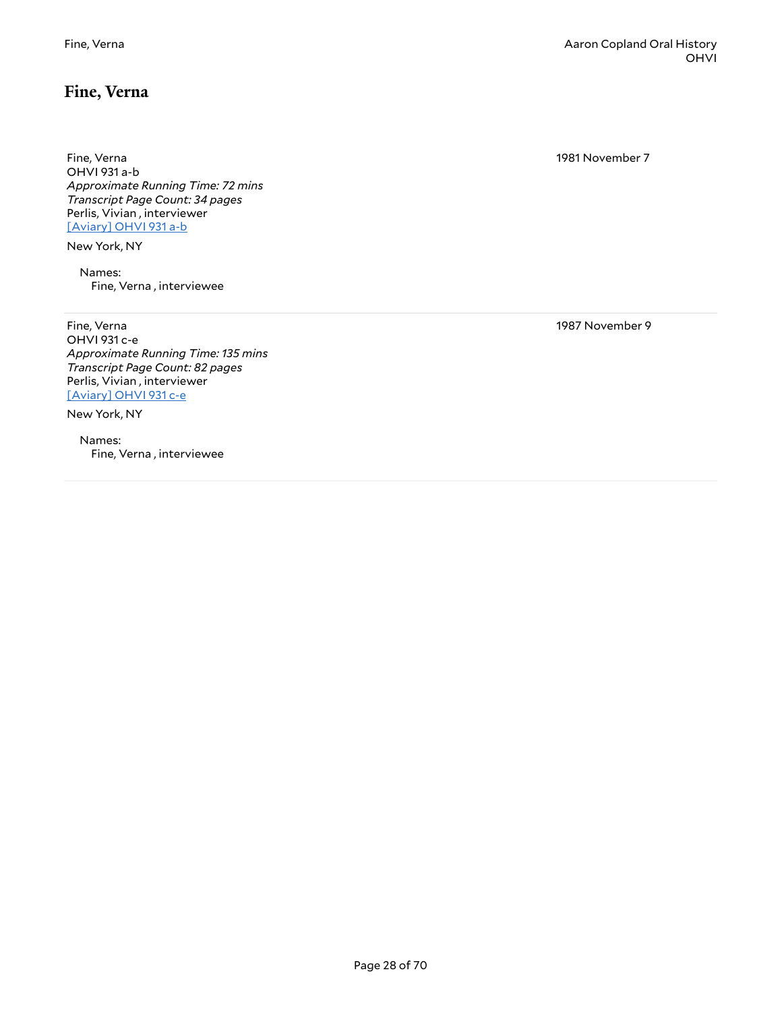#### <span id="page-27-0"></span>**Fine, Verna**

Fine, Verna OHVI 931 a-b *Approximate Running Time: 72 mins Transcript Page Count: 34 pages* Perlis, Vivian , interviewer [\[Aviary\]](https://yalemusiclib.aviaryplatform.com/r/h707w67d10) OHVI 931 a-b

New York, NY

Names: Fine, Verna , interviewee

Fine, Verna OHVI 931 c-e *Approximate Running Time: 135 mins Transcript Page Count: 82 pages* Perlis, Vivian , interviewer [\[Aviary\]](https://yalemusiclib.aviaryplatform.com/r/xg9f47h826) OHVI 931 c-e

New York, NY

Names: Fine, Verna , interviewee

Fine, Verna Aaron Copland Oral History OHVI

1981 November 7

1987 November 9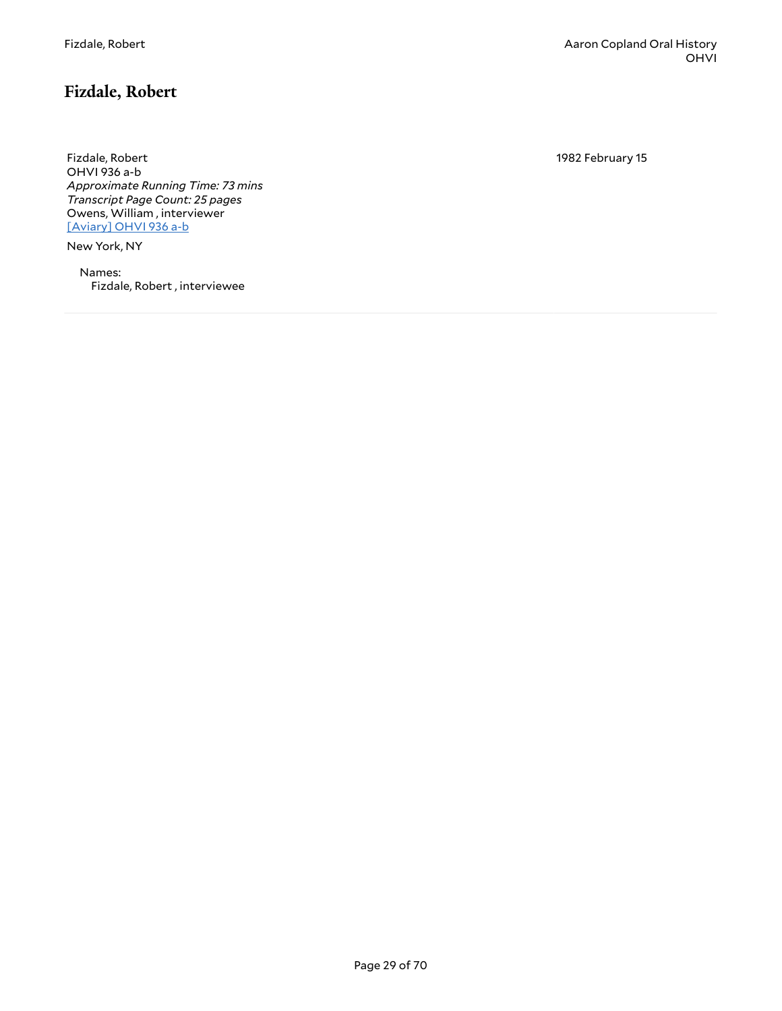# <span id="page-28-0"></span>**Fizdale, Robert**

Fizdale, Robert OHVI 936 a-b *Approximate Running Time: 73 mins Transcript Page Count: 25 pages* Owens, William , interviewer [\[Aviary\]](https://yalemusiclib.aviaryplatform.com/r/3j3901zj2r) OHVI 936 a-b

New York, NY

Names: Fizdale, Robert , interviewee 1982 February 15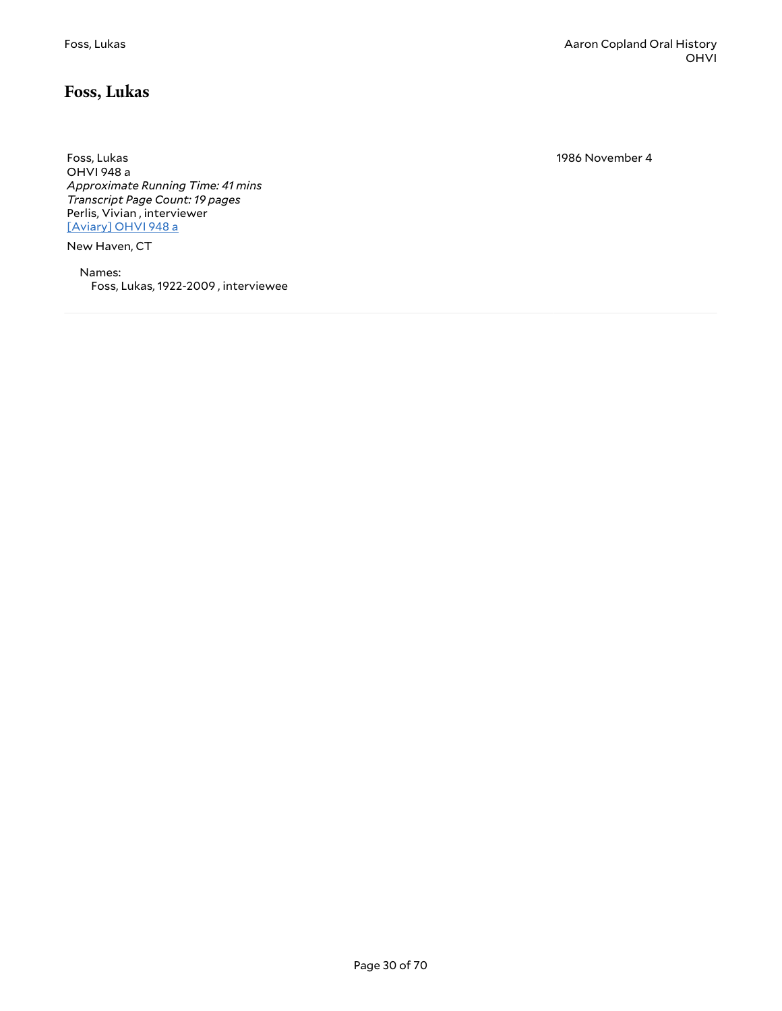#### <span id="page-29-0"></span>**Foss, Lukas**

Foss, Lukas OHVI 948 a *Approximate Running Time: 41 mins Transcript Page Count: 19 pages* Perlis, Vivian , interviewer [\[Aviary\]](https://yalemusiclib.aviaryplatform.com/r/1r6n00zs5f) OHVI 948 a

New Haven, CT

Names: Foss, Lukas, 1922-2009 , interviewee 1986 November 4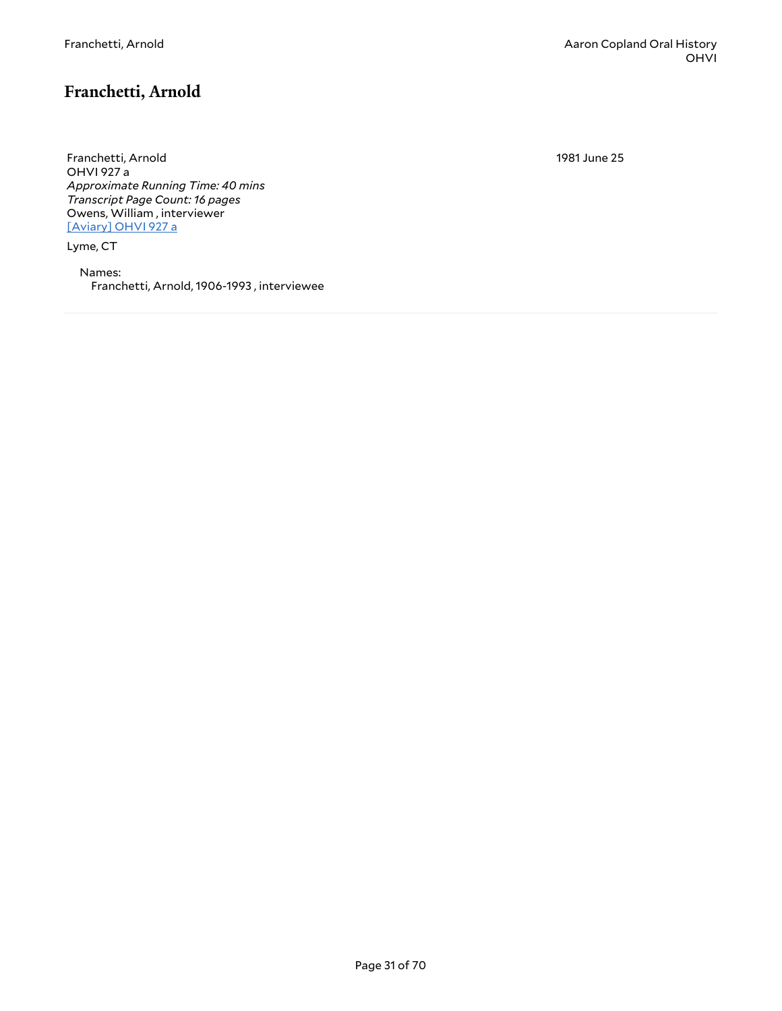## <span id="page-30-0"></span>**Franchetti, Arnold**

Franchetti, Arnold OHVI 927 a *Approximate Running Time: 40 mins Transcript Page Count: 16 pages* Owens, William , interviewer [\[Aviary\]](https://yalemusiclib.aviaryplatform.com/r/dj58c9rb74) OHVI 927 a

Lyme, CT

Names: Franchetti, Arnold, 1906-1993 , interviewee 1981 June 25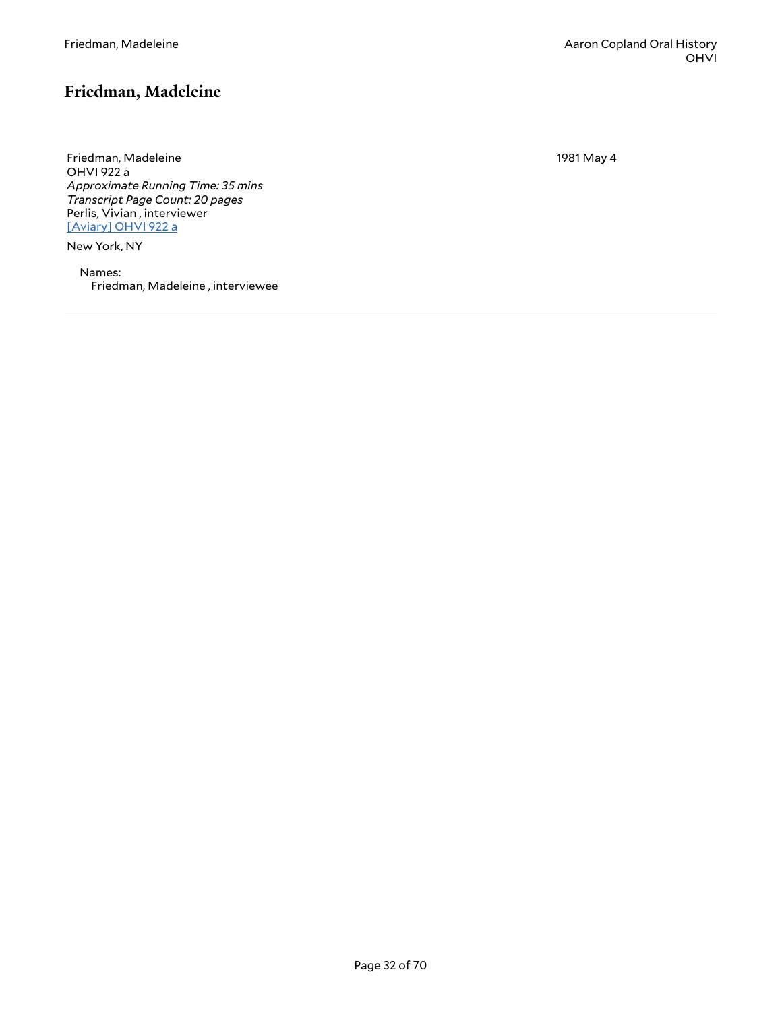# <span id="page-31-0"></span>**Friedman, Madeleine**

Friedman, Madeleine OHVI 922 a *Approximate Running Time: 35 mins Transcript Page Count: 20 pages* Perlis, Vivian , interviewer [\[Aviary\]](https://yalemusiclib.aviaryplatform.com/r/0g3gx44v1v) OHVI 922 a

New York, NY

Names: Friedman, Madeleine , interviewee 1981 May 4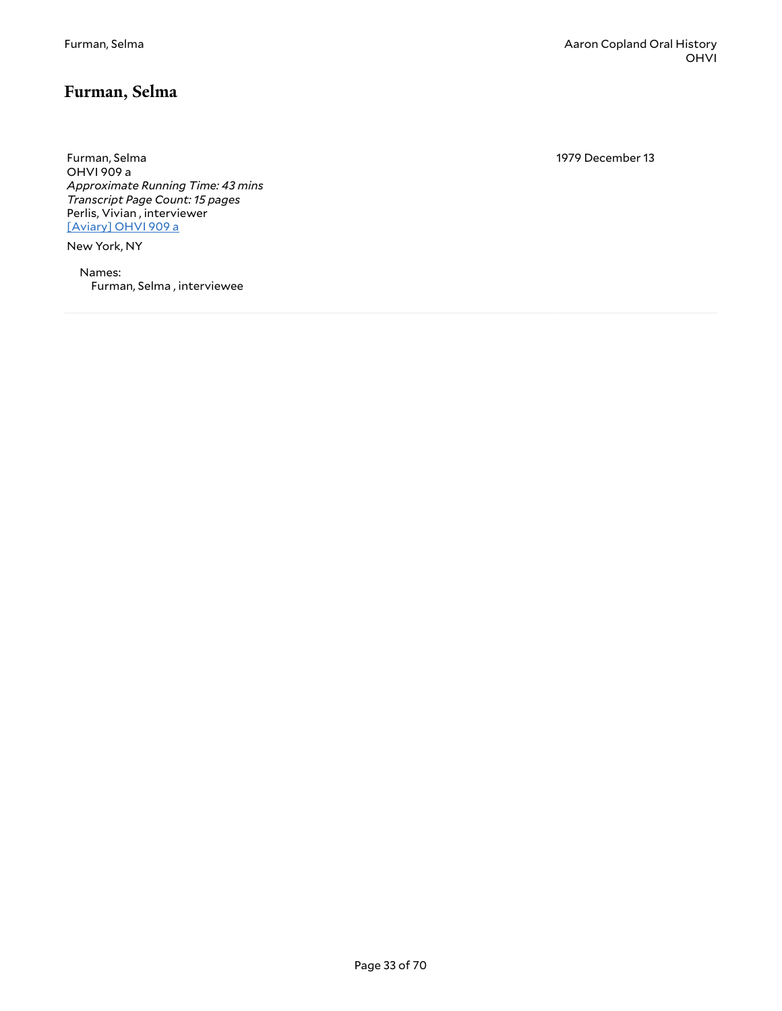#### <span id="page-32-0"></span>**Furman, Selma**

Furman, Selma OHVI 909 a *Approximate Running Time: 43 mins Transcript Page Count: 15 pages* Perlis, Vivian , interviewer [\[Aviary\]](https://yalemusiclib.aviaryplatform.com/r/j96057d41d) OHVI 909 a

New York, NY

Names: Furman, Selma , interviewee 1979 December 13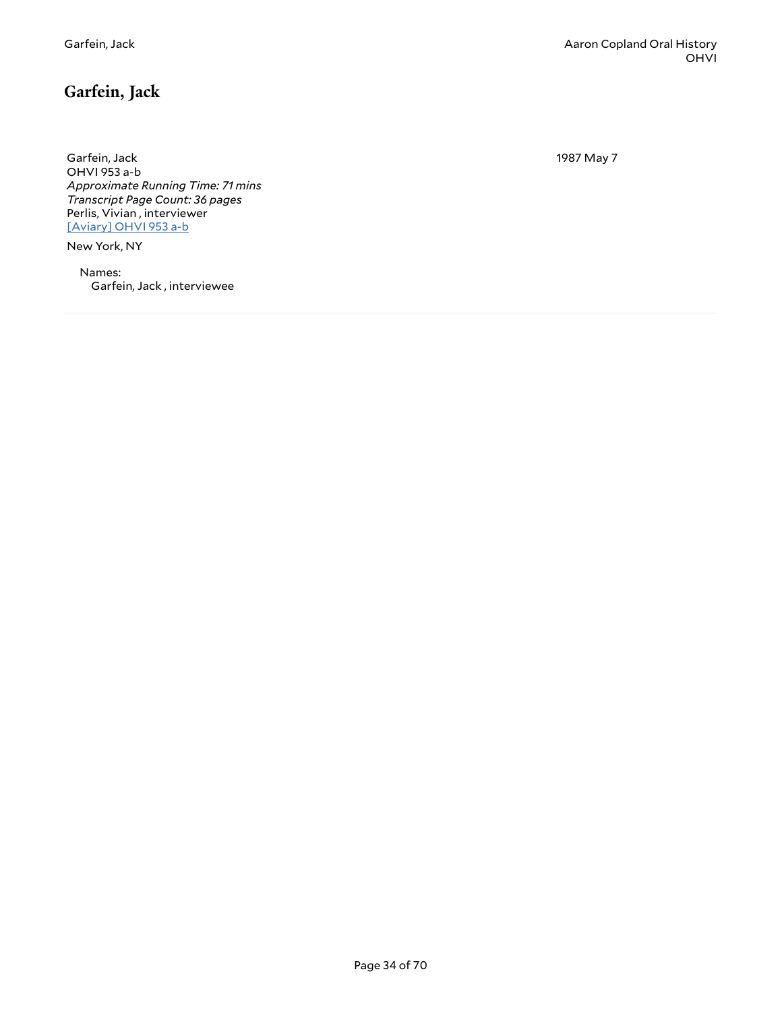# <span id="page-33-0"></span>**Garfein, Jack**

Garfein, Jack OHVI 953 a-b *Approximate Running Time: 71 mins Transcript Page Count: 36 pages* Perlis, Vivian , interviewer [\[Aviary\]](https://yalemusiclib.aviaryplatform.com/r/f47gq6r78z) OHVI 953 a-b

New York, NY

Names: Garfein, Jack , interviewee 1987 May 7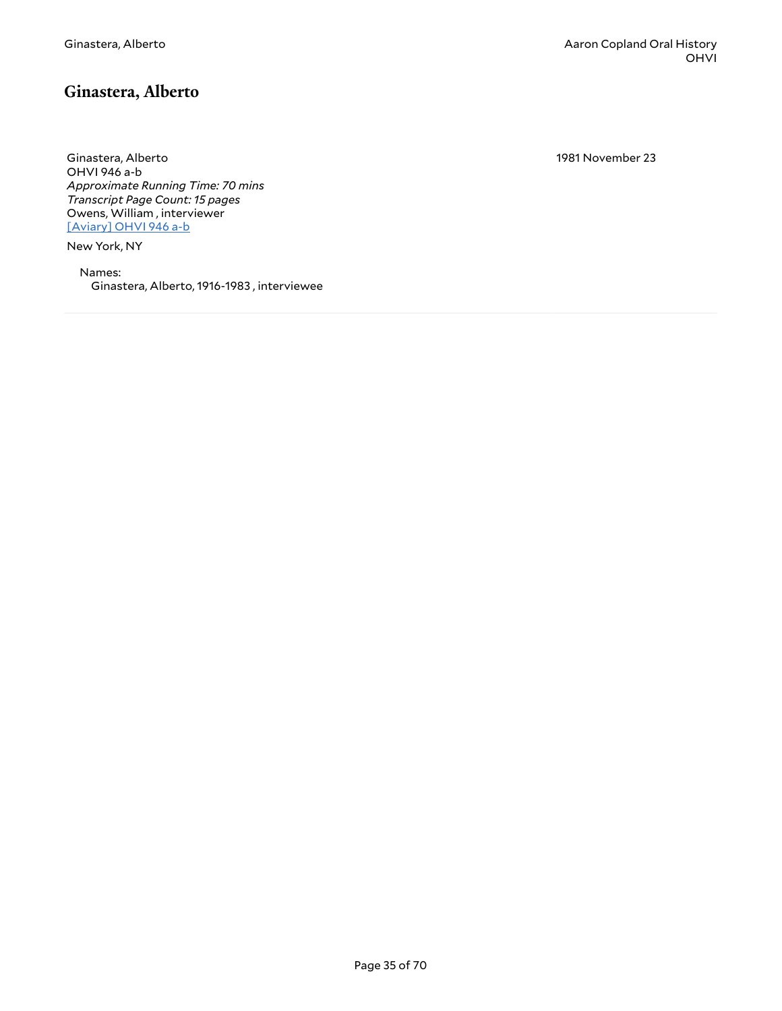#### <span id="page-34-0"></span>**Ginastera, Alberto**

Ginastera, Alberto OHVI 946 a-b *Approximate Running Time: 70 mins Transcript Page Count: 15 pages* Owens, William , interviewer [\[Aviary\]](https://yalemusiclib.aviaryplatform.com/r/vt1gh9bp2j) OHVI 946 a-b

New York, NY

Names: Ginastera, Alberto, 1916-1983 , interviewee 1981 November 23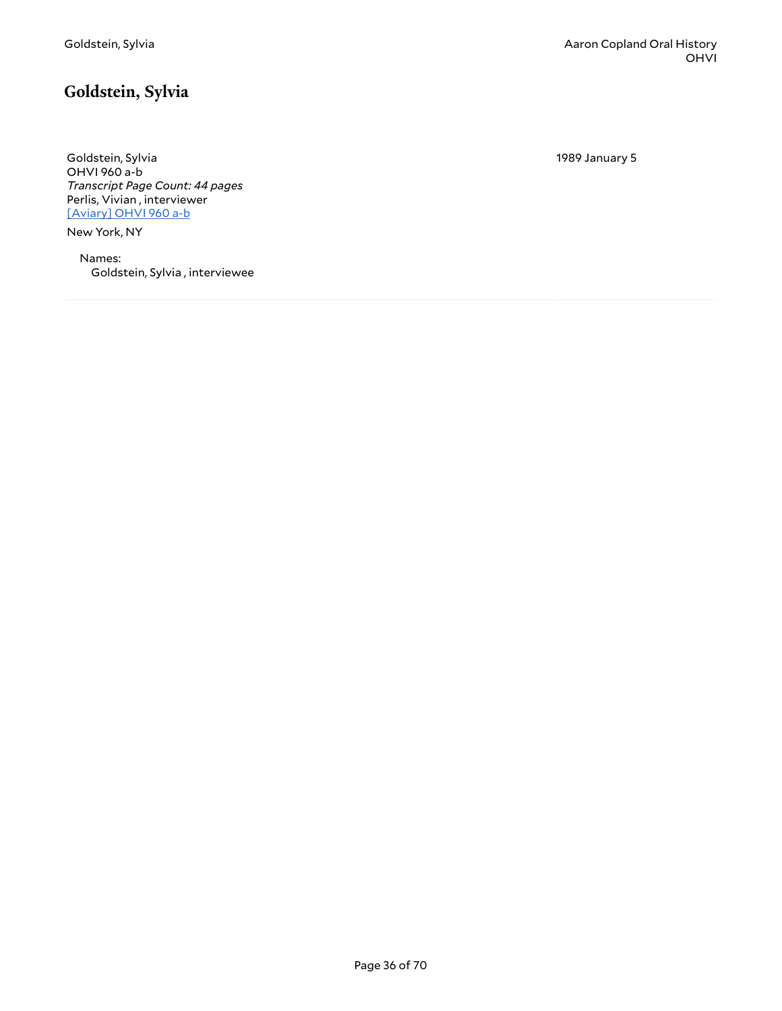# <span id="page-35-0"></span>**Goldstein, Sylvia**

Goldstein, Sylvia OHVI 960 a-b *Transcript Page Count: 44 pages* Perlis, Vivian , interviewer [\[Aviary\]](https://yalemusiclib.aviaryplatform.com/r/3f4kk94c81) OHVI 960 a-b

New York, NY

Names: Goldstein, Sylvia , interviewee 1989 January 5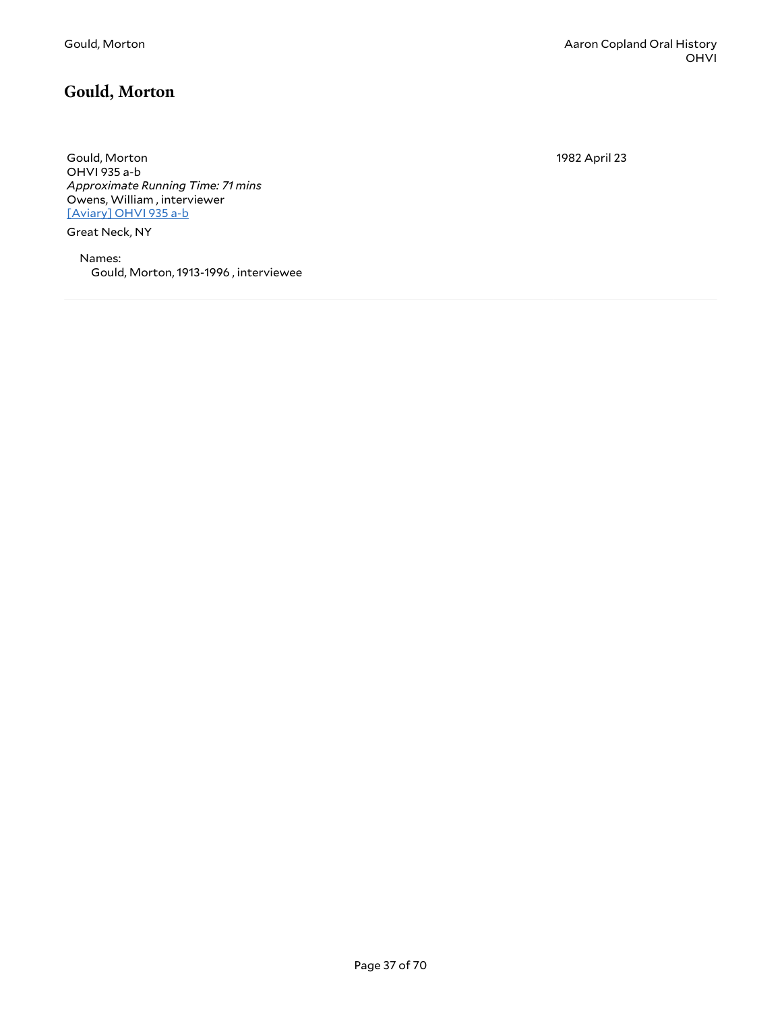# <span id="page-36-0"></span>**Gould, Morton**

Gould, Morton OHVI 935 a-b *Approximate Running Time: 71 mins* Owens, William , interviewer [\[Aviary\]](https://yalemusiclib.aviaryplatform.com/r/r20rr1pw6s) OHVI 935 a-b

Great Neck, NY

Names: Gould, Morton, 1913-1996 , interviewee 1982 April 23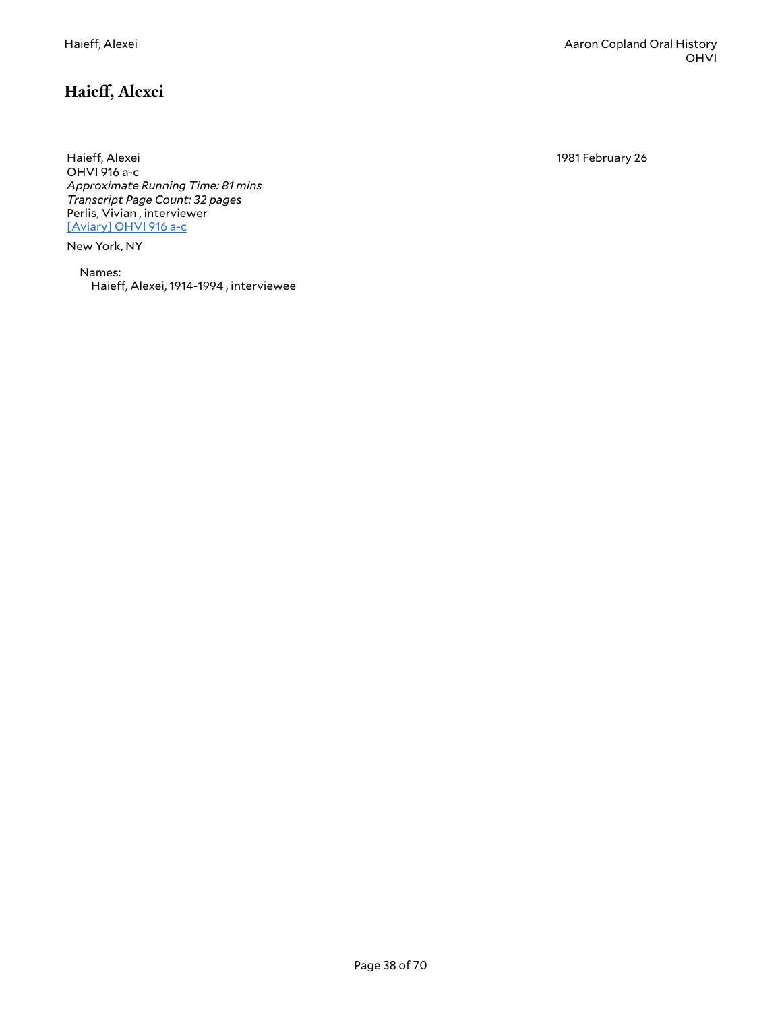1981 February 26

<span id="page-37-0"></span>Haieff, Alexei OHVI 916 a-c *Approximate Running Time: 81 mins Transcript Page Count: 32 pages* Perlis, Vivian , interviewer [\[Aviary\]](https://yalemusiclib.aviaryplatform.com/r/sj19k4653r) OHVI 916 a-c

New York, NY

Names: Haieff, Alexei, 1914-1994, interviewee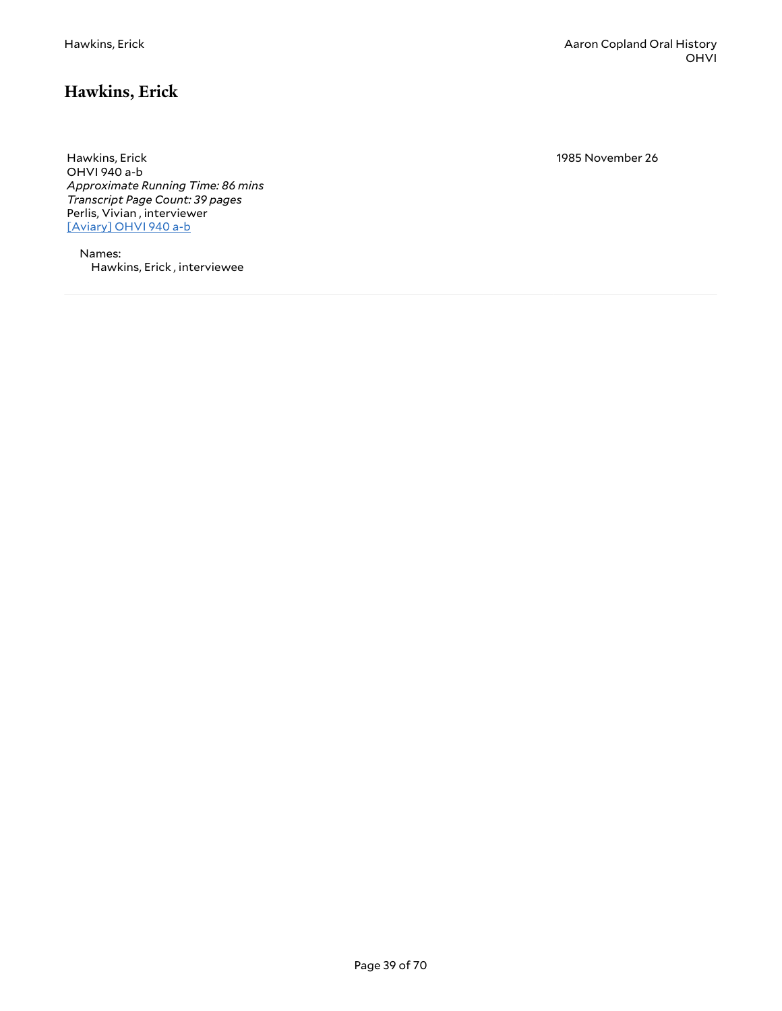# <span id="page-38-0"></span>**Hawkins, Erick**

Hawkins, Erick OHVI 940 a-b *Approximate Running Time: 86 mins Transcript Page Count: 39 pages* Perlis, Vivian , interviewer [\[Aviary\]](https://yalemusiclib.aviaryplatform.com/r/st7dr2pm3r) OHVI 940 a-b

Names: Hawkins, Erick , interviewee 1985 November 26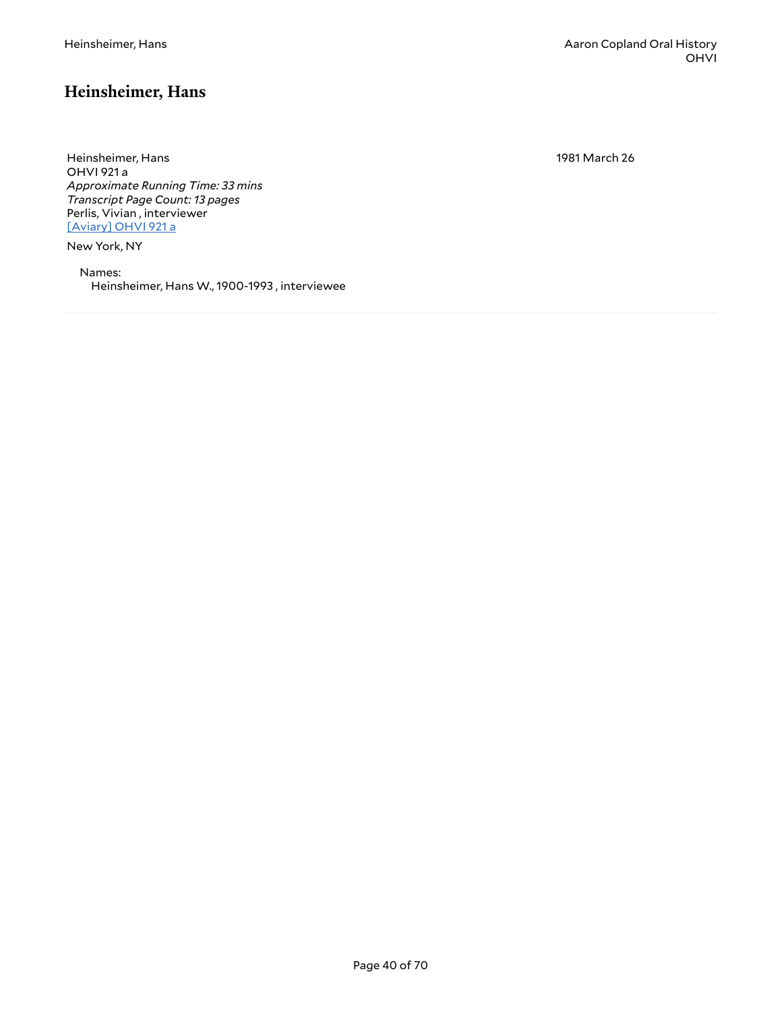#### <span id="page-39-0"></span>**Heinsheimer, Hans**

Heinsheimer, Hans OHVI 921 a *Approximate Running Time: 33 mins Transcript Page Count: 13 pages* Perlis, Vivian , interviewer [\[Aviary\]](https://yalemusiclib.aviaryplatform.com/r/dn3zs2kh99) OHVI 921 a

New York, NY

Names: Heinsheimer, Hans W., 1900-1993 , interviewee 1981 March 26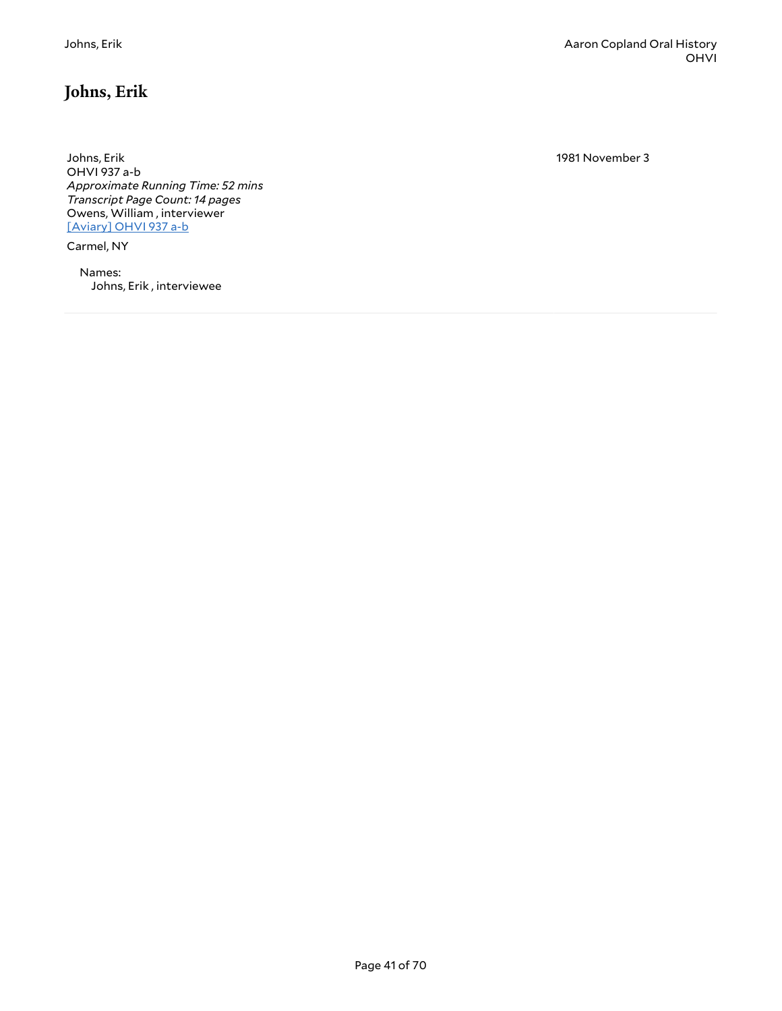# <span id="page-40-0"></span>**Johns, Erik**

Johns, Erik OHVI 937 a-b *Approximate Running Time: 52 mins Transcript Page Count: 14 pages* Owens, William , interviewer [\[Aviary\]](https://yalemusiclib.aviaryplatform.com/r/jq0sq8qp76) OHVI 937 a-b

Carmel, NY

Names: Johns, Erik , interviewee 1981 November 3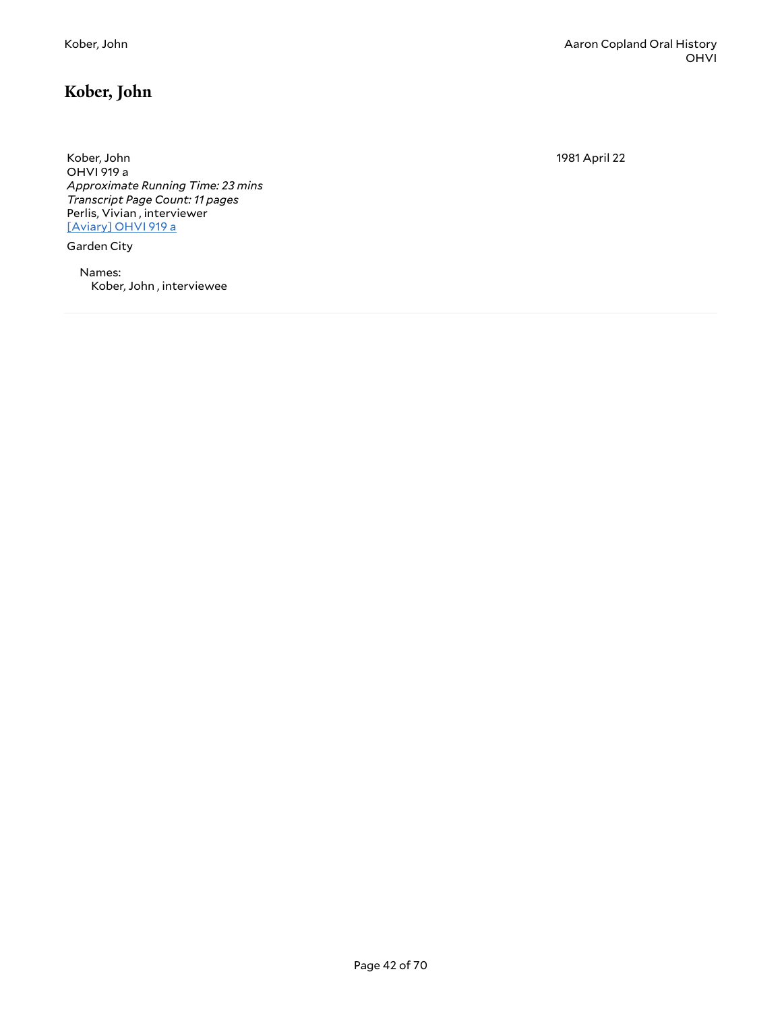# <span id="page-41-0"></span>**Kober, John**

Kober, John OHVI 919 a *Approximate Running Time: 23 mins Transcript Page Count: 11 pages* Perlis, Vivian , interviewer [\[Aviary\]](https://yalemusiclib.aviaryplatform.com/r/b27pn8xj14) OHVI 919 a

Garden City

Names: Kober, John , interviewee 1981 April 22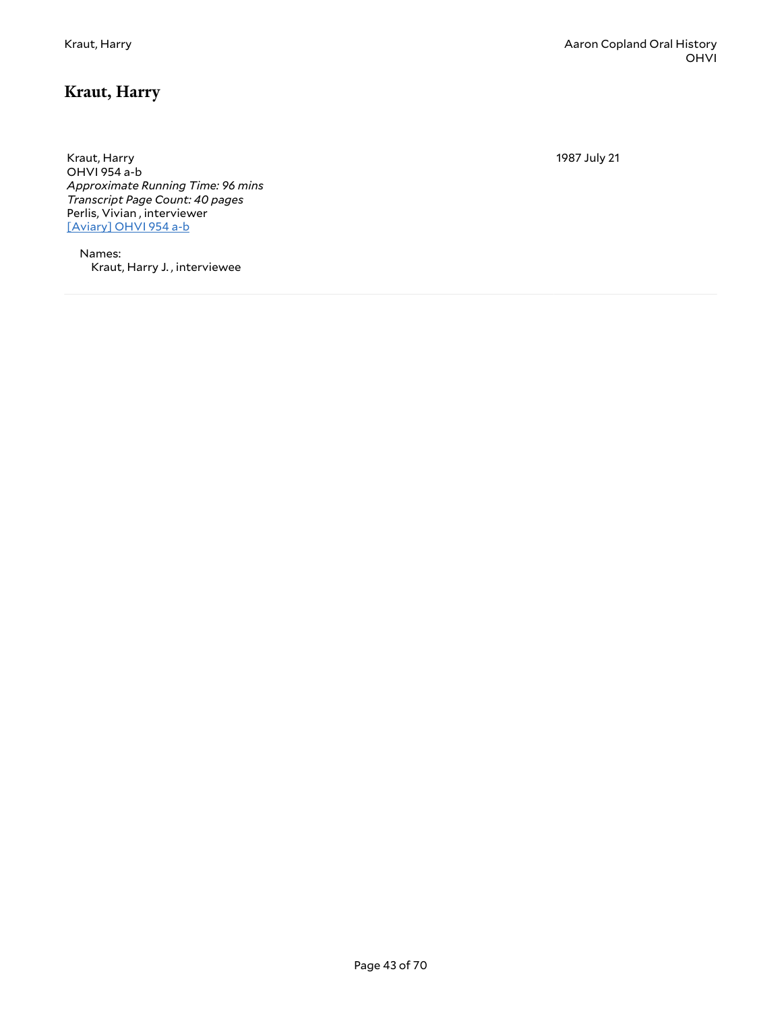# <span id="page-42-0"></span>**Kraut, Harry**

Kraut, Harry OHVI 954 a-b *Approximate Running Time: 96 mins Transcript Page Count: 40 pages* Perlis, Vivian , interviewer [\[Aviary\]](https://yalemusiclib.aviaryplatform.com/r/7m03x83r5j) OHVI 954 a-b

Names: Kraut, Harry J. , interviewee 1987 July 21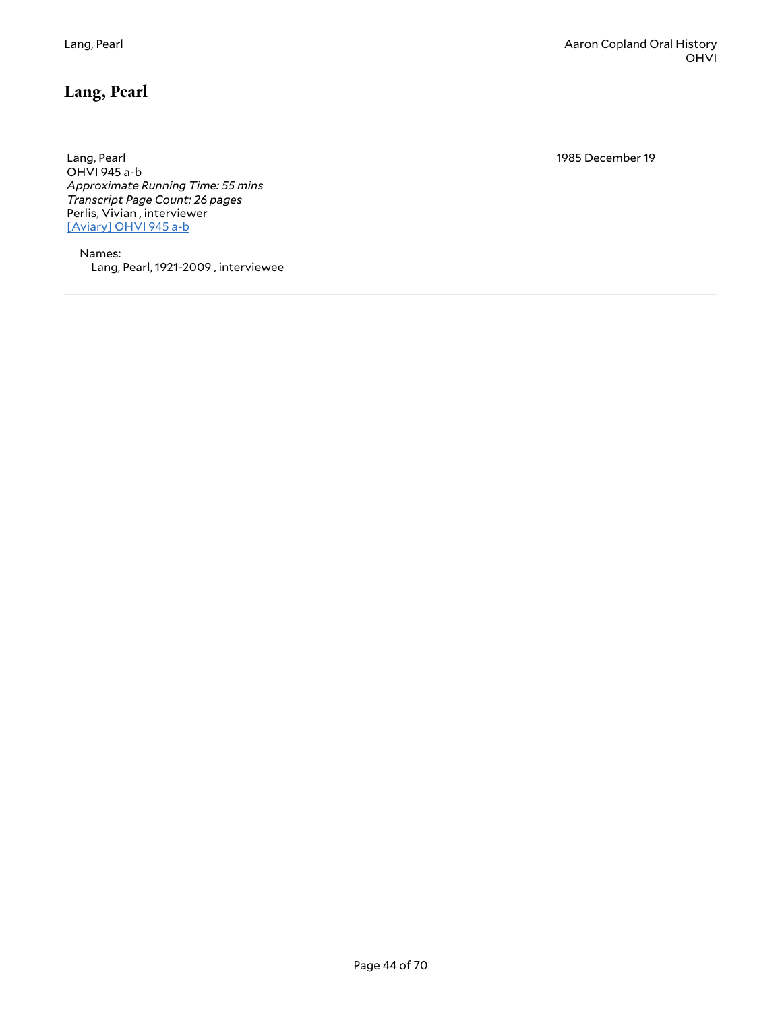# <span id="page-43-0"></span>**Lang, Pearl**

Lang, Pearl OHVI 945 a-b *Approximate Running Time: 55 mins Transcript Page Count: 26 pages* Perlis, Vivian , interviewer [\[Aviary\]](https://yalemusiclib.aviaryplatform.com/r/j678s4jz4d) OHVI 945 a-b

Names: Lang, Pearl, 1921-2009 , interviewee 1985 December 19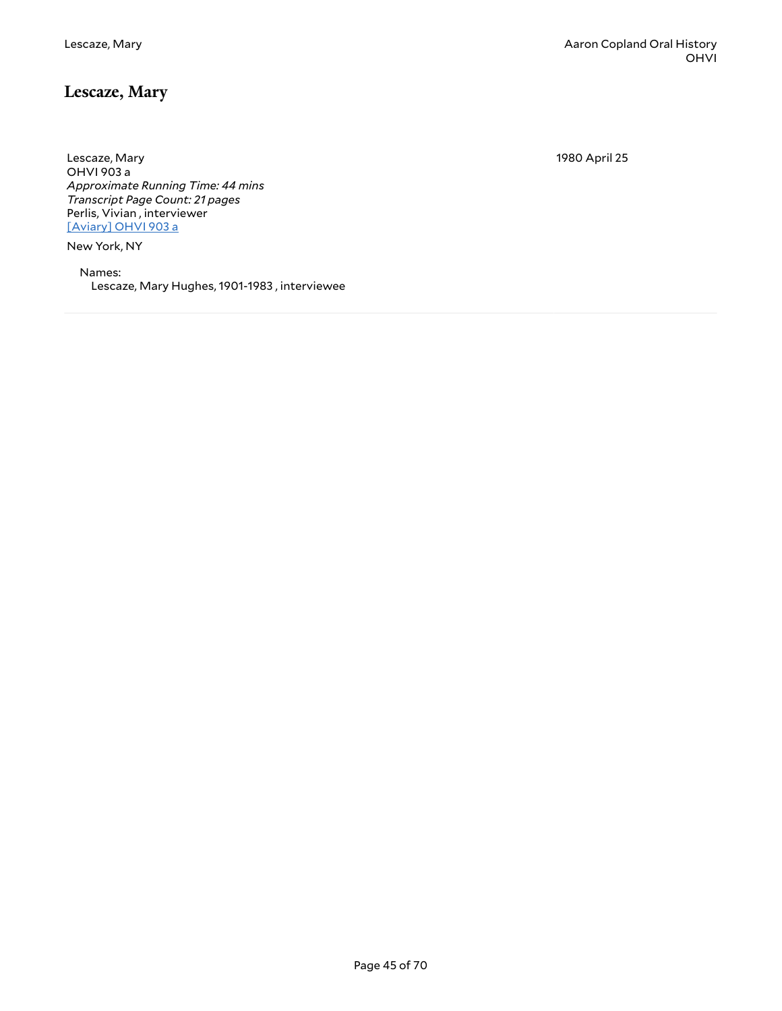## <span id="page-44-0"></span>**Lescaze, Mary**

Lescaze, Mary OHVI 903 a *Approximate Running Time: 44 mins Transcript Page Count: 21 pages* Perlis, Vivian , interviewer [\[Aviary\]](https://yalemusiclib.aviaryplatform.com/r/8k74t6f77b) OHVI 903 a

New York, NY

Names: Lescaze, Mary Hughes, 1901-1983 , interviewee 1980 April 25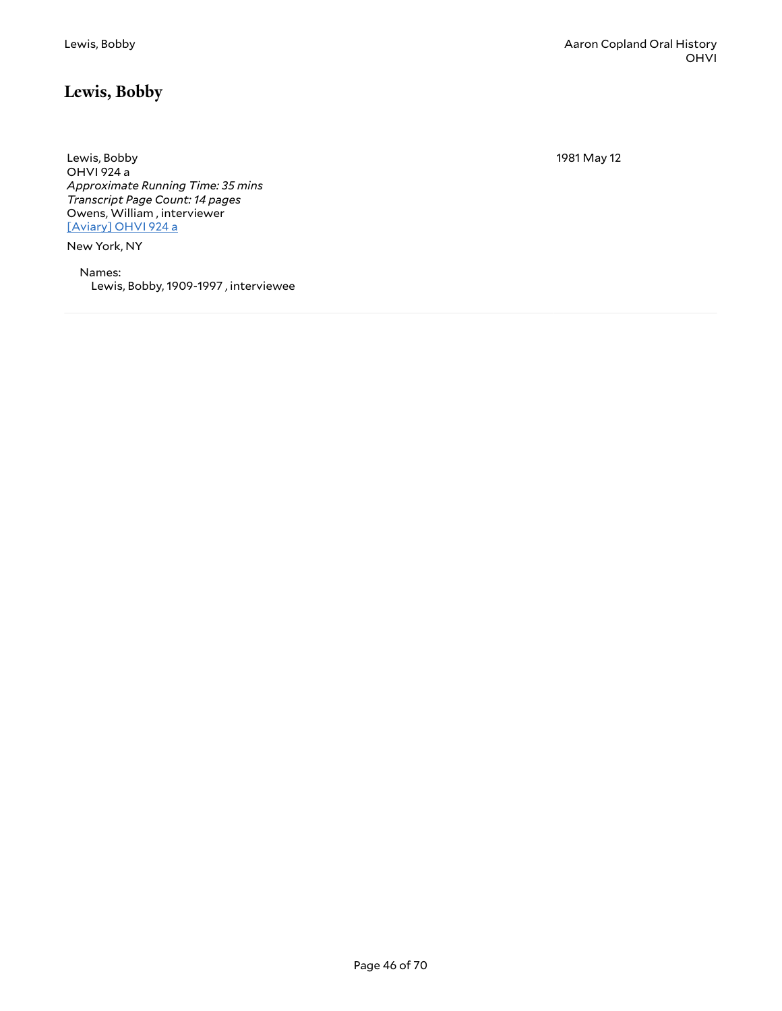# <span id="page-45-0"></span>**Lewis, Bobby**

1981 May 12

Lewis, Bobby OHVI 924 a *Approximate Running Time: 35 mins Transcript Page Count: 14 pages* Owens, William , interviewer [\[Aviary\]](https://yalemusiclib.aviaryplatform.com/r/7w6736m70n) OHVI 924 a

New York, NY

Names: Lewis, Bobby, 1909-1997 , interviewee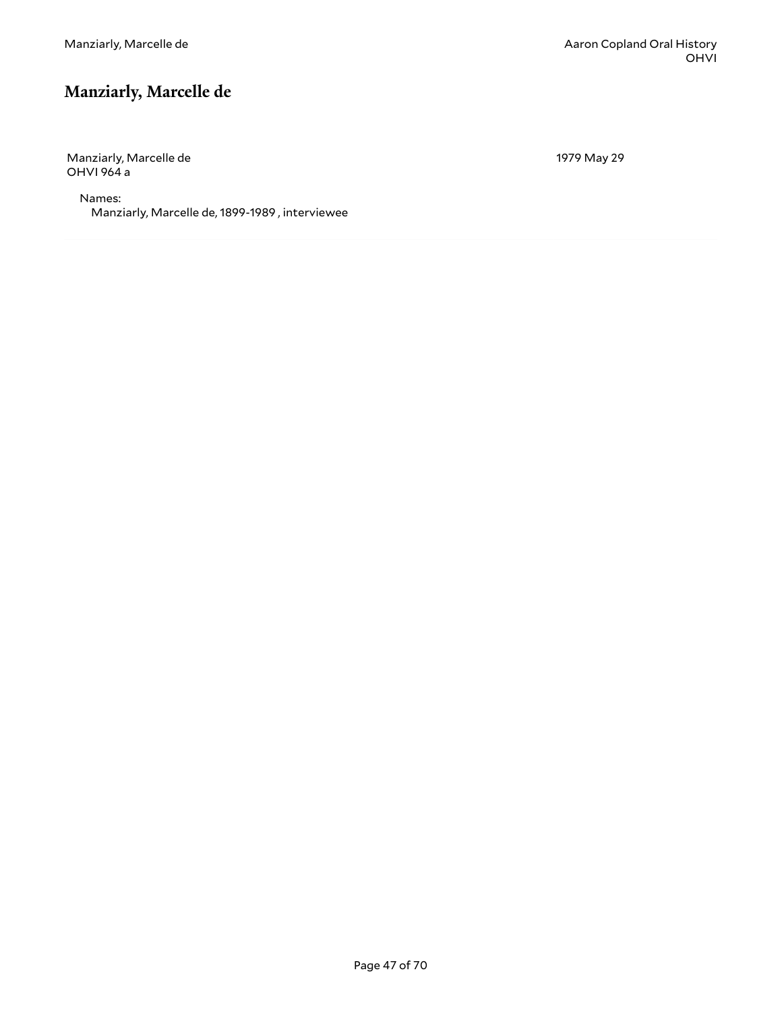# <span id="page-46-0"></span>**Manziarly, Marcelle de**

Manziarly, Marcelle de OHVI 964 a

1979 May 29

Names: Manziarly, Marcelle de, 1899-1989 , interviewee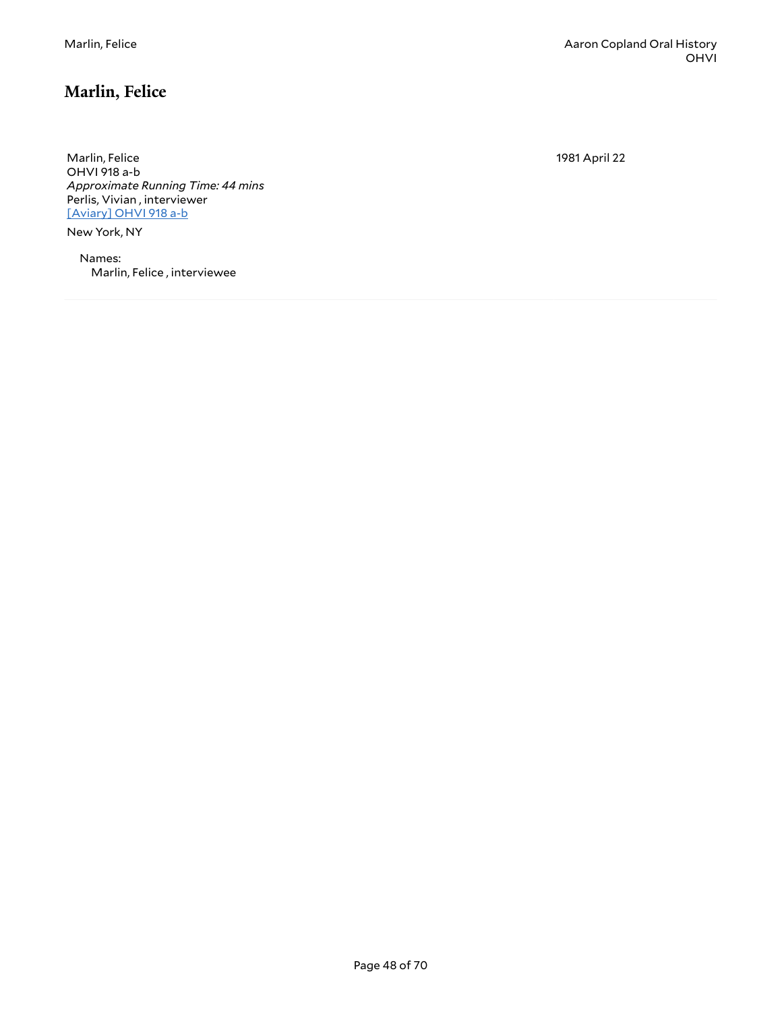# <span id="page-47-0"></span>**Marlin, Felice**

Marlin, Felice OHVI 918 a-b *Approximate Running Time: 44 mins* Perlis, Vivian , interviewer [\[Aviary\]](https://yalemusiclib.aviaryplatform.com/r/028pc2t68z) OHVI 918 a-b

New York, NY

Names: Marlin, Felice , interviewee 1981 April 22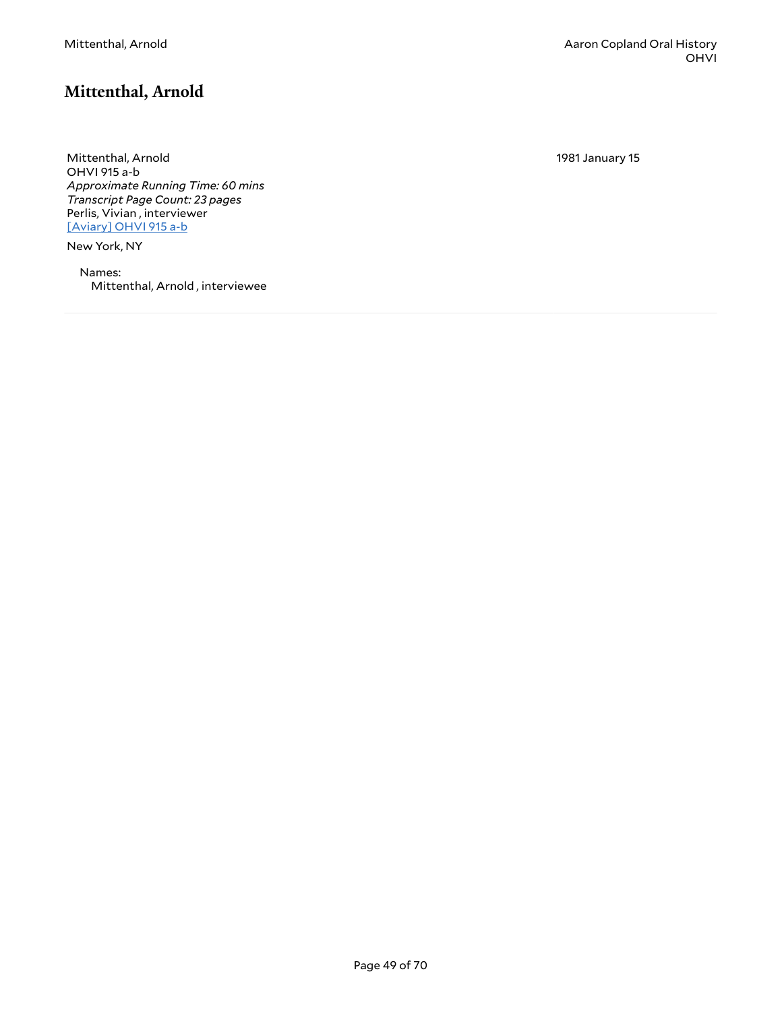## <span id="page-48-0"></span>**Mittenthal, Arnold**

Mittenthal, Arnold OHVI 915 a-b *Approximate Running Time: 60 mins Transcript Page Count: 23 pages* Perlis, Vivian , interviewer [\[Aviary\]](https://yalemusiclib.aviaryplatform.com/r/n872v2cm6d) OHVI 915 a-b

New York, NY

Names: Mittenthal, Arnold , interviewee 1981 January 15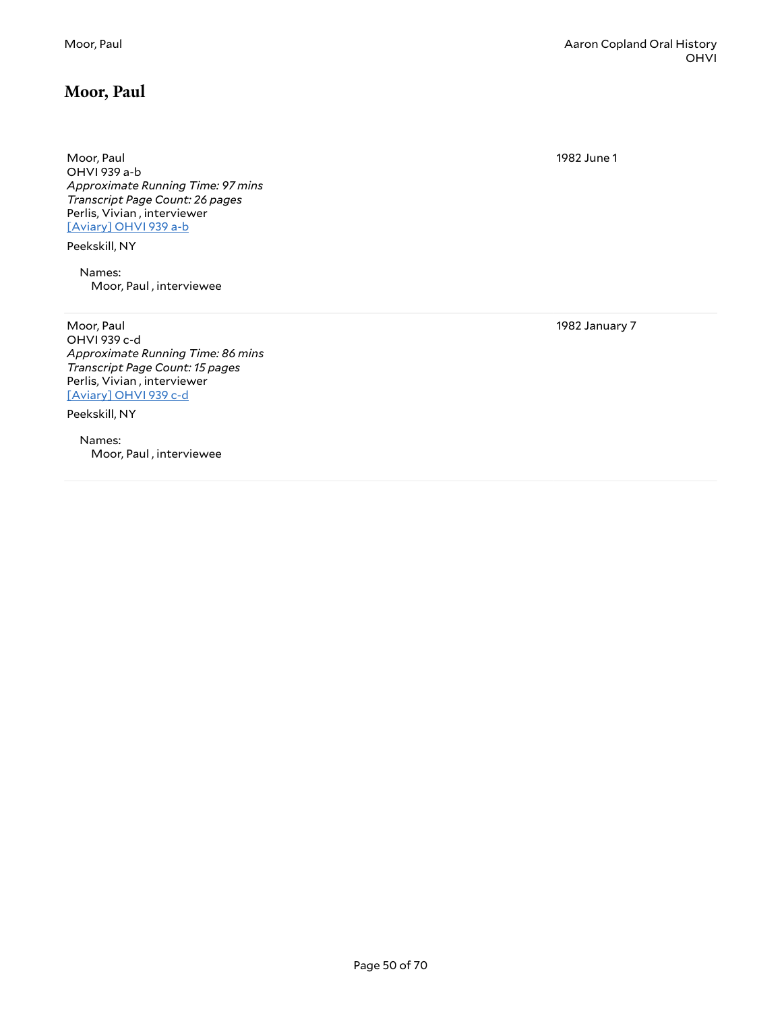#### <span id="page-49-0"></span>**Moor, Paul**

Moor, Paul OHVI 939 a-b *Approximate Running Time: 97 mins Transcript Page Count: 26 pages* Perlis, Vivian , interviewer [\[Aviary\]](https://yalemusiclib.aviaryplatform.com/r/5717m04327) OHVI 939 a-b

Peekskill, NY

Names: Moor, Paul , interviewee

Moor, Paul OHVI 939 c-d *Approximate Running Time: 86 mins Transcript Page Count: 15 pages* Perlis, Vivian , interviewer [\[Aviary\]](https://yalemusiclib.aviaryplatform.com/r/6w96688p8c) OHVI 939 c-d

Peekskill, NY

Names: Moor, Paul , interviewee

Moor, Paul Aaron Copland Oral History OHVI

1982 June 1

1982 January 7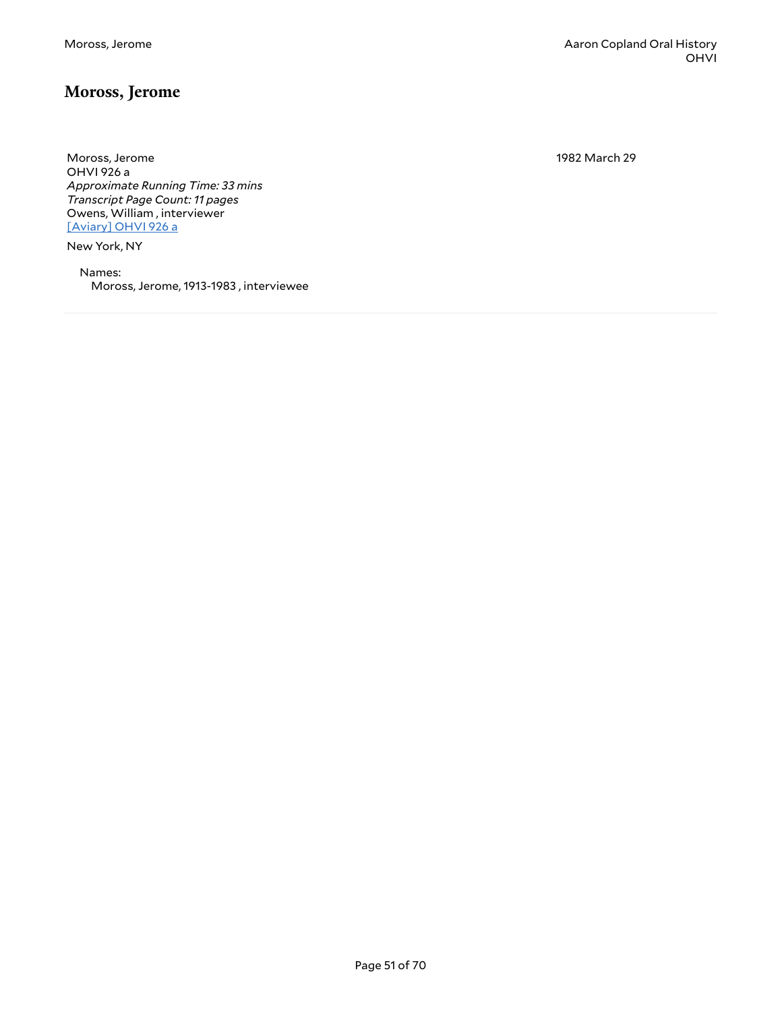#### <span id="page-50-0"></span>**Moross, Jerome**

Moross, Jerome OHVI 926 a *Approximate Running Time: 33 mins Transcript Page Count: 11 pages* Owens, William , interviewer [\[Aviary\]](https://yalemusiclib.aviaryplatform.com/r/0v89g5gf8p) OHVI 926 a

New York, NY

Names: Moross, Jerome, 1913-1983 , interviewee 1982 March 29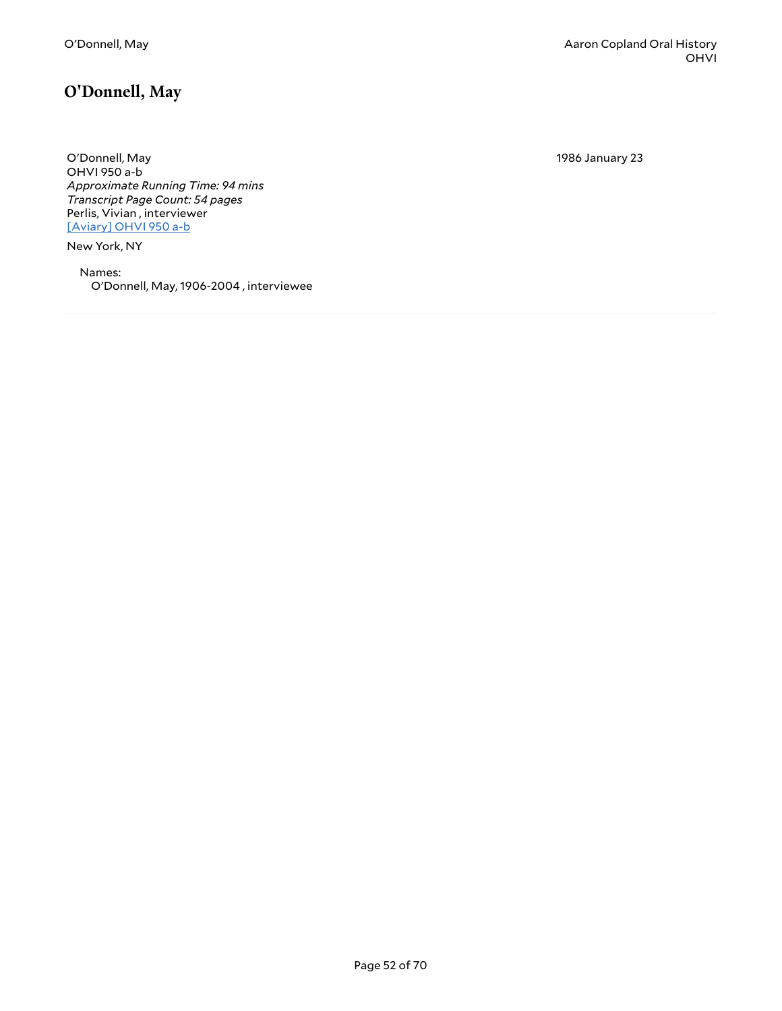1986 January 23

<span id="page-51-0"></span>O'Donnell, May OHVI 950 a-b *Approximate Running Time: 94 mins Transcript Page Count: 54 pages* Perlis, Vivian , interviewer [\[Aviary\]](https://yalemusiclib.aviaryplatform.com/r/5t3fx74047) OHVI 950 a-b

New York, NY

Names: O'Donnell, May, 1906-2004 , interviewee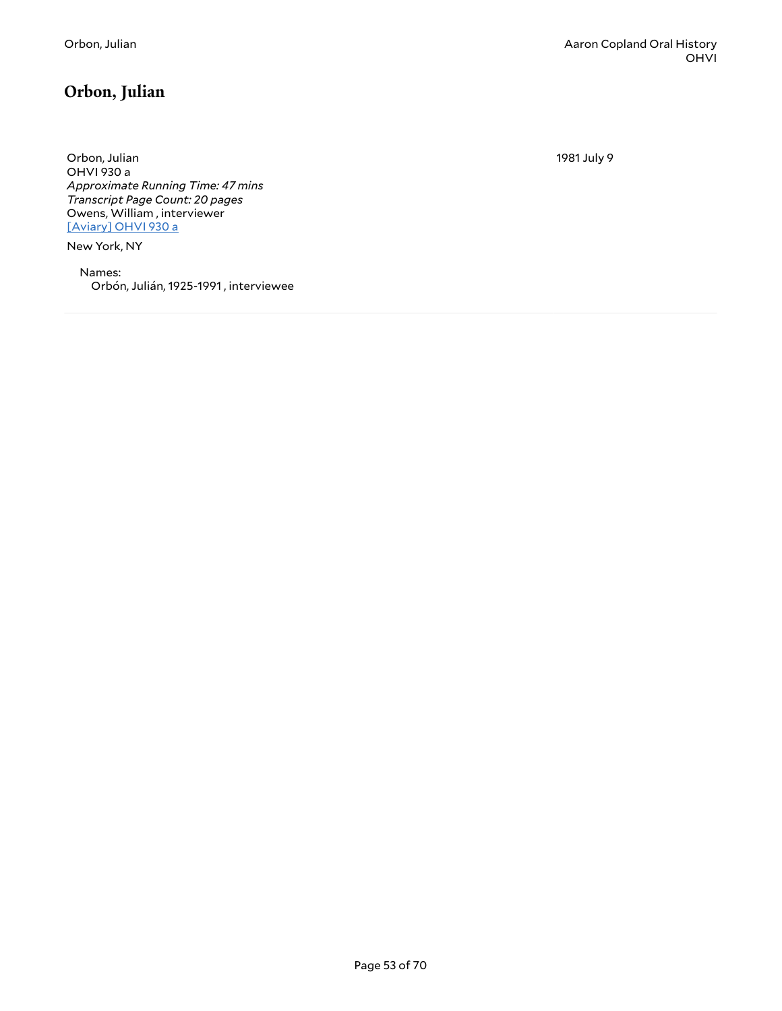# <span id="page-52-0"></span>**Orbon, Julian**

Orbon, Julian OHVI 930 a *Approximate Running Time: 47 mins Transcript Page Count: 20 pages* Owens, William , interviewer [\[Aviary\]](https://yalemusiclib.aviaryplatform.com/r/cj87h1dv2g) OHVI 930 a

New York, NY

Names: Orbón, Julián, 1925-1991 , interviewee 1981 July 9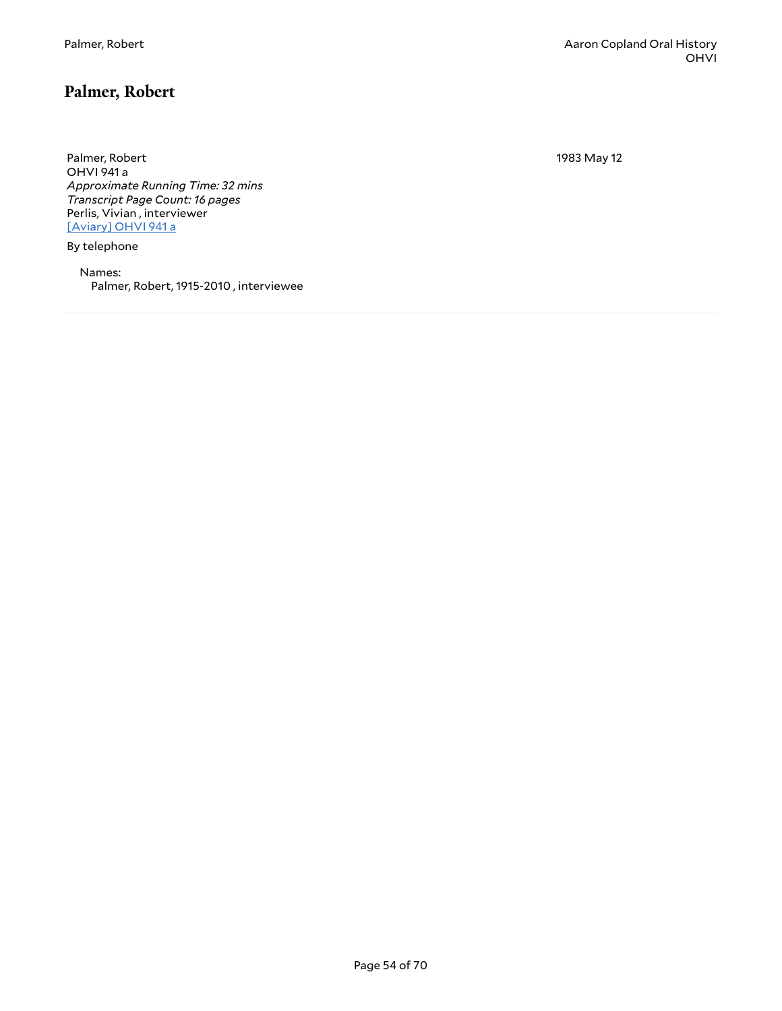#### <span id="page-53-0"></span>**Palmer, Robert**

Palmer, Robert OHVI 941 a *Approximate Running Time: 32 mins Transcript Page Count: 16 pages* Perlis, Vivian , interviewer [\[Aviary\]](https://yalemusiclib.aviaryplatform.com/r/1c1td9n56z) OHVI 941 a

By telephone

Names: Palmer, Robert, 1915-2010 , interviewee 1983 May 12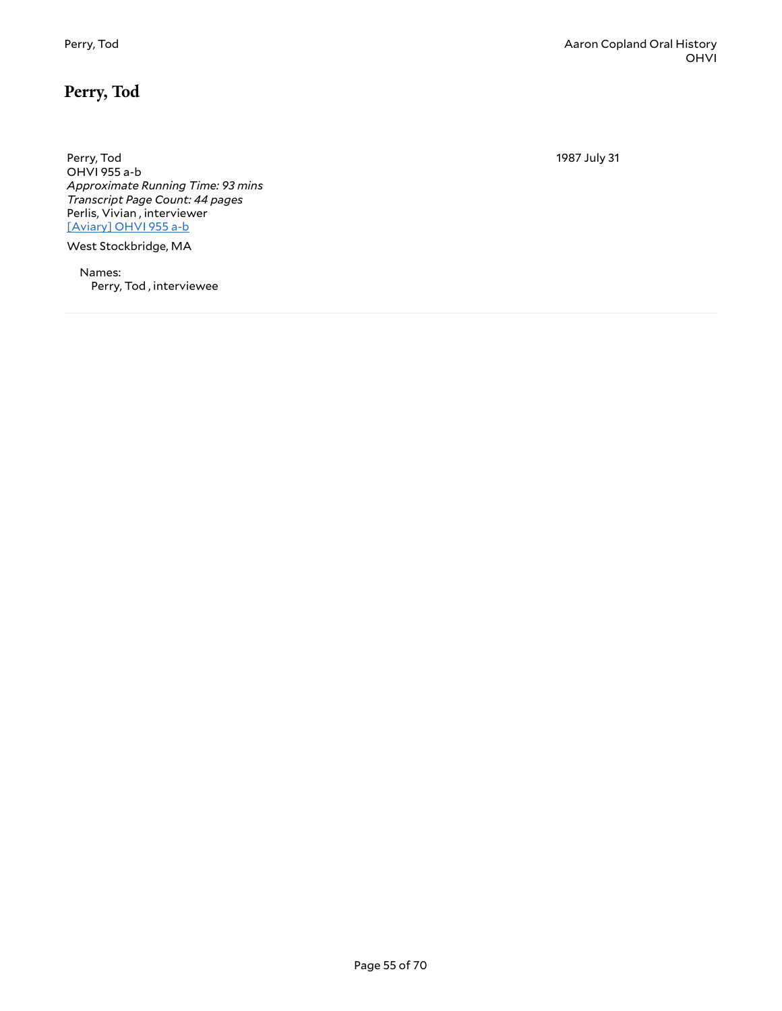## <span id="page-54-0"></span>**Perry, Tod**

Perry, Tod OHVI 955 a-b *Approximate Running Time: 93 mins Transcript Page Count: 44 pages* Perlis, Vivian , interviewer [\[Aviary\]](https://yalemusiclib.aviaryplatform.com/r/q814m91q0x) OHVI 955 a-b

West Stockbridge, MA

Names: Perry, Tod , interviewee 1987 July 31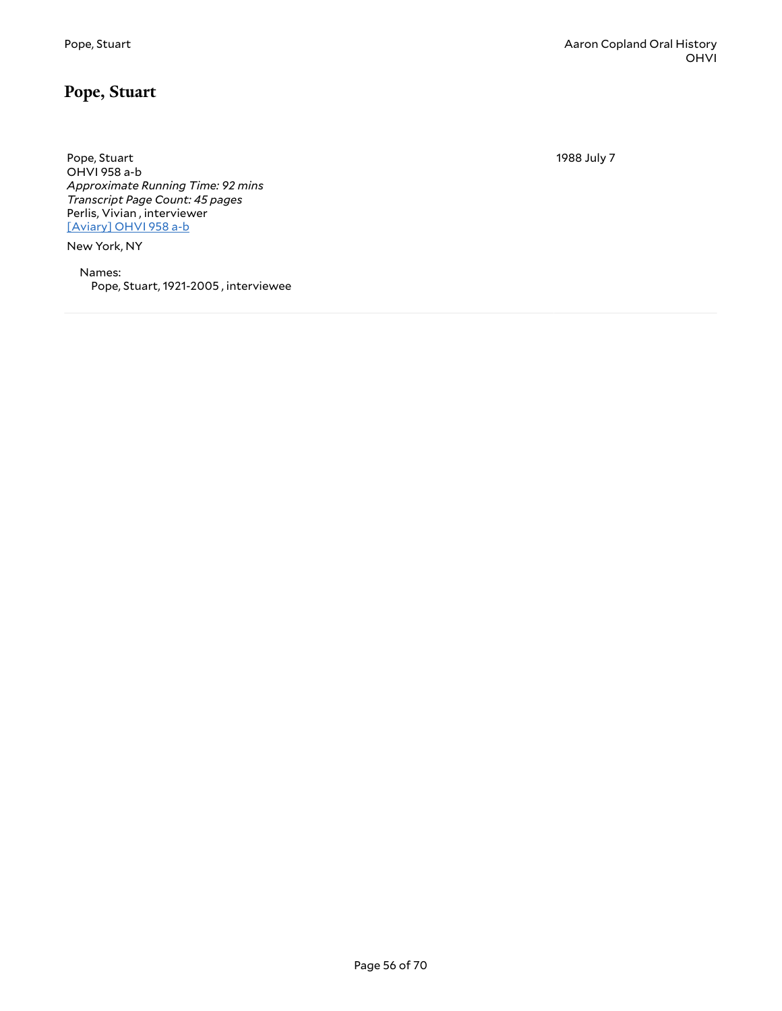#### <span id="page-55-0"></span>**Pope, Stuart**

Pope, Stuart OHVI 958 a-b *Approximate Running Time: 92 mins Transcript Page Count: 45 pages* Perlis, Vivian , interviewer [\[Aviary\]](https://yalemusiclib.aviaryplatform.com/r/n58cf9jh8x) OHVI 958 a-b

New York, NY

Names: Pope, Stuart, 1921-2005 , interviewee 1988 July 7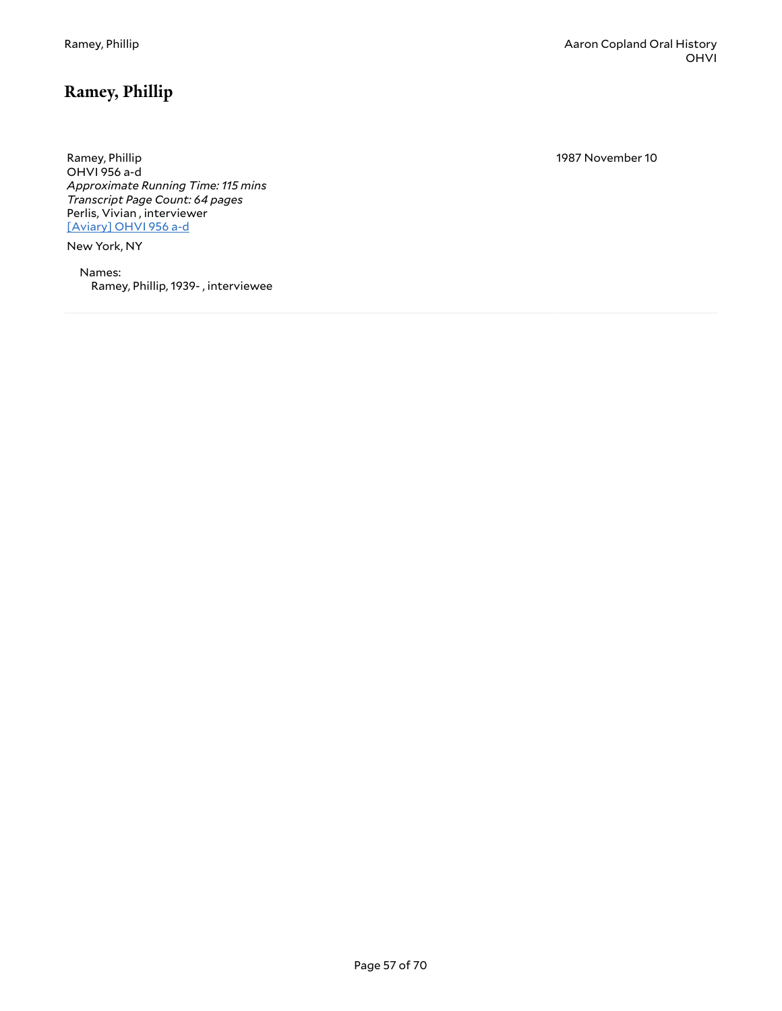1987 November 10

<span id="page-56-0"></span>Ramey, Phillip OHVI 956 a-d *Approximate Running Time: 115 mins Transcript Page Count: 64 pages* Perlis, Vivian , interviewer [\[Aviary\]](https://yalemusiclib.aviaryplatform.com/r/4j09w09196) OHVI 956 a-d

New York, NY

Names: Ramey, Phillip, 1939- , interviewee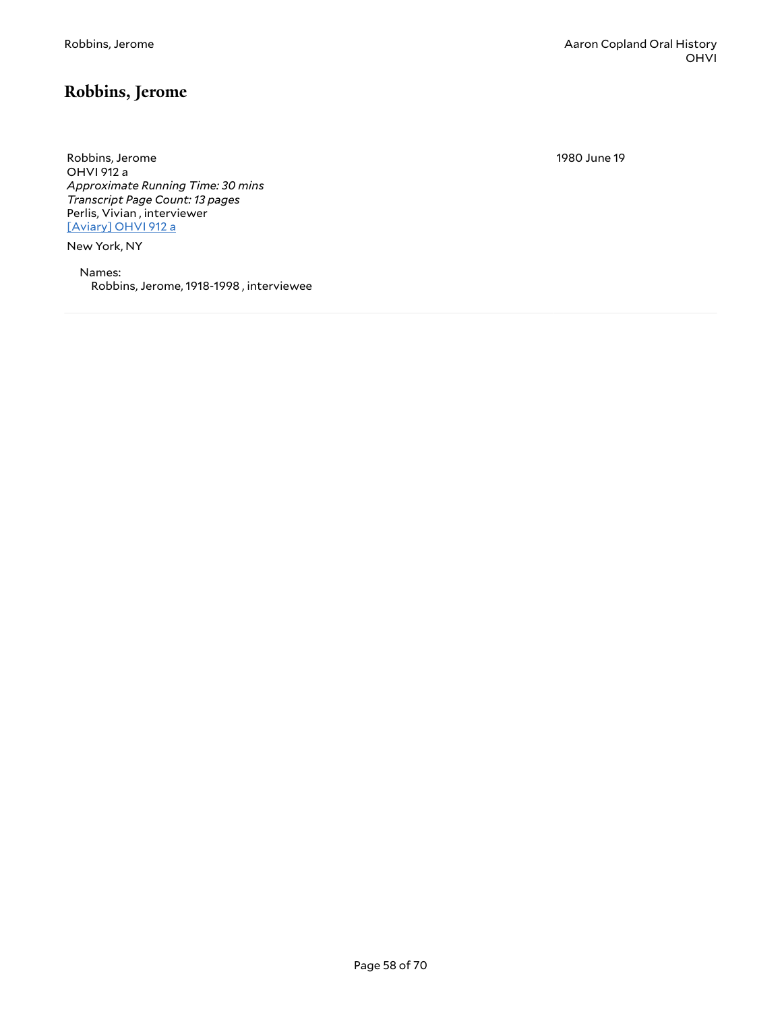## <span id="page-57-0"></span>**Robbins, Jerome**

Robbins, Jerome OHVI 912 a *Approximate Running Time: 30 mins Transcript Page Count: 13 pages* Perlis, Vivian , interviewer [\[Aviary\]](https://yalemusiclib.aviaryplatform.com/r/qr4nk36g2r) OHVI 912 a

New York, NY

Names: Robbins, Jerome, 1918-1998 , interviewee 1980 June 19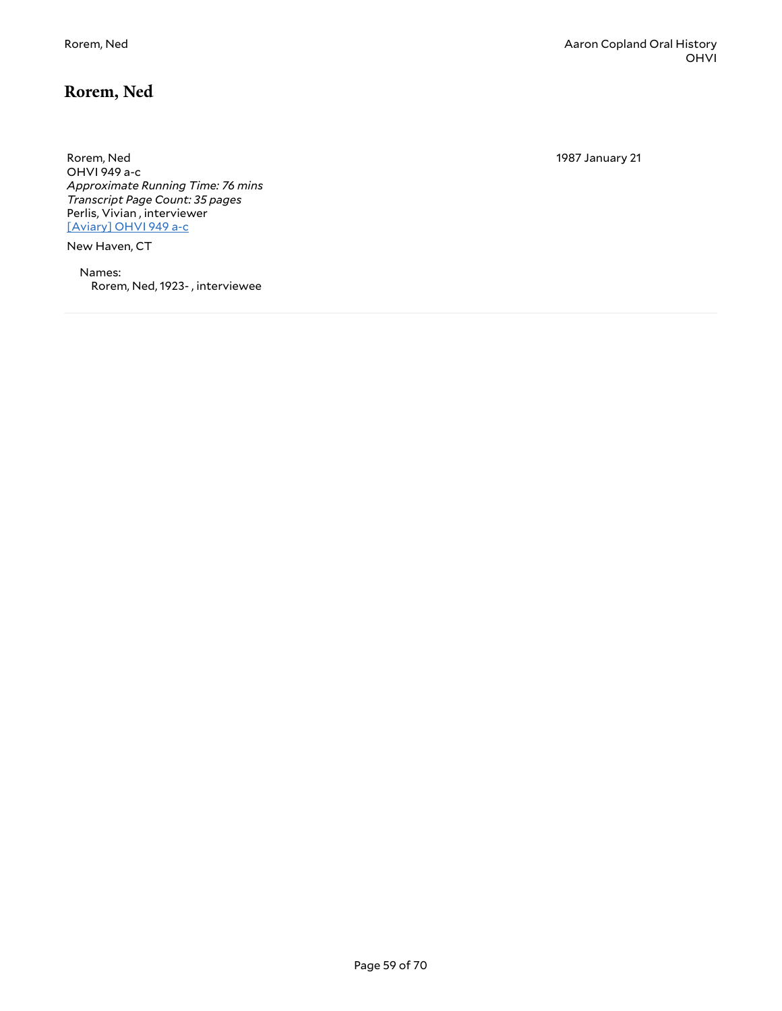## <span id="page-58-0"></span>**Rorem, Ned**

Rorem, Ned OHVI 949 a-c *Approximate Running Time: 76 mins Transcript Page Count: 35 pages* Perlis, Vivian , interviewer [\[Aviary\]](https://yalemusiclib.aviaryplatform.com/r/0z70v89j90) OHVI 949 a-c

New Haven, CT

Names: Rorem, Ned, 1923- , interviewee 1987 January 21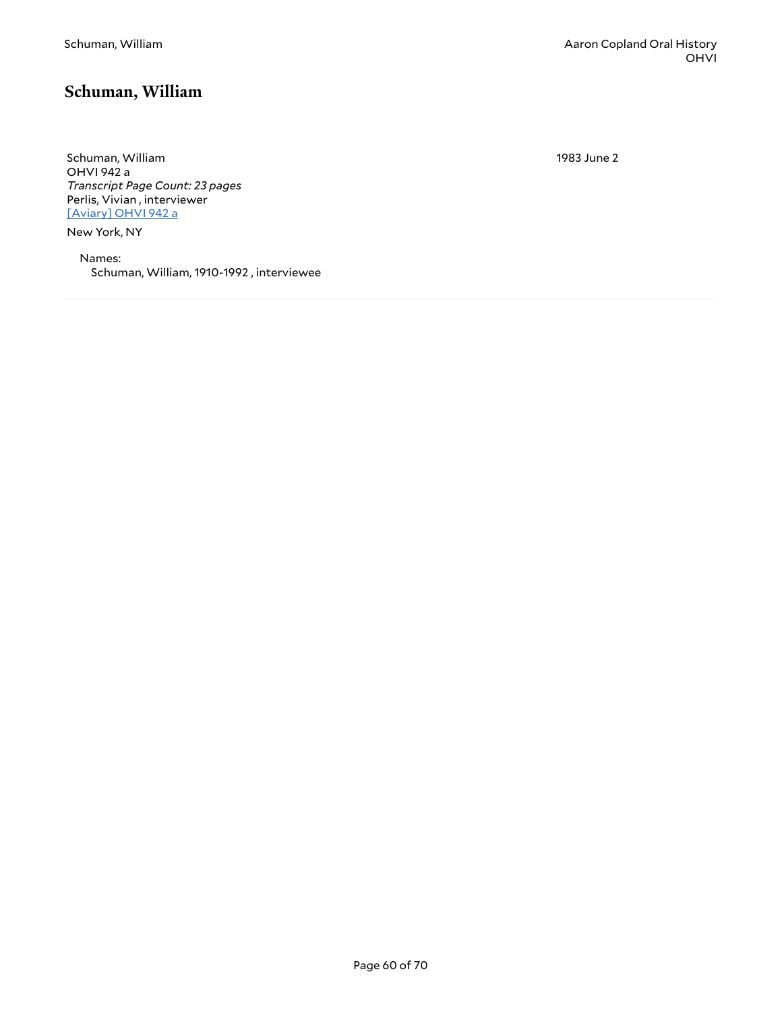#### <span id="page-59-0"></span>**Schuman, William**

Schuman, William OHVI 942 a *Transcript Page Count: 23 pages* Perlis, Vivian , interviewer [\[Aviary\]](https://yalemusiclib.aviaryplatform.com/r/7m03x83r6v) OHVI 942 a

New York, NY

Names: Schuman, William, 1910-1992 , interviewee 1983 June 2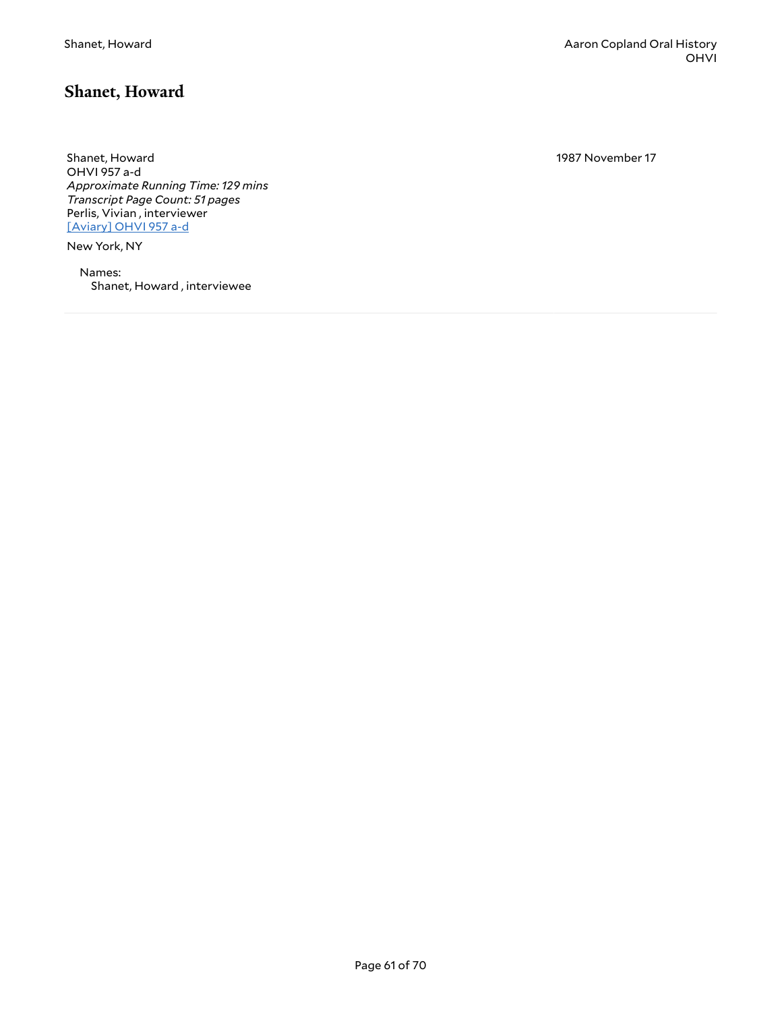#### <span id="page-60-0"></span>**Shanet, Howard**

Shanet, Howard OHVI 957 a-d *Approximate Running Time: 129 mins Transcript Page Count: 51 pages* Perlis, Vivian , interviewer [\[Aviary\]](https://yalemusiclib.aviaryplatform.com/r/xp6tx35m57) OHVI 957 a-d

New York, NY

Names: Shanet, Howard , interviewee 1987 November 17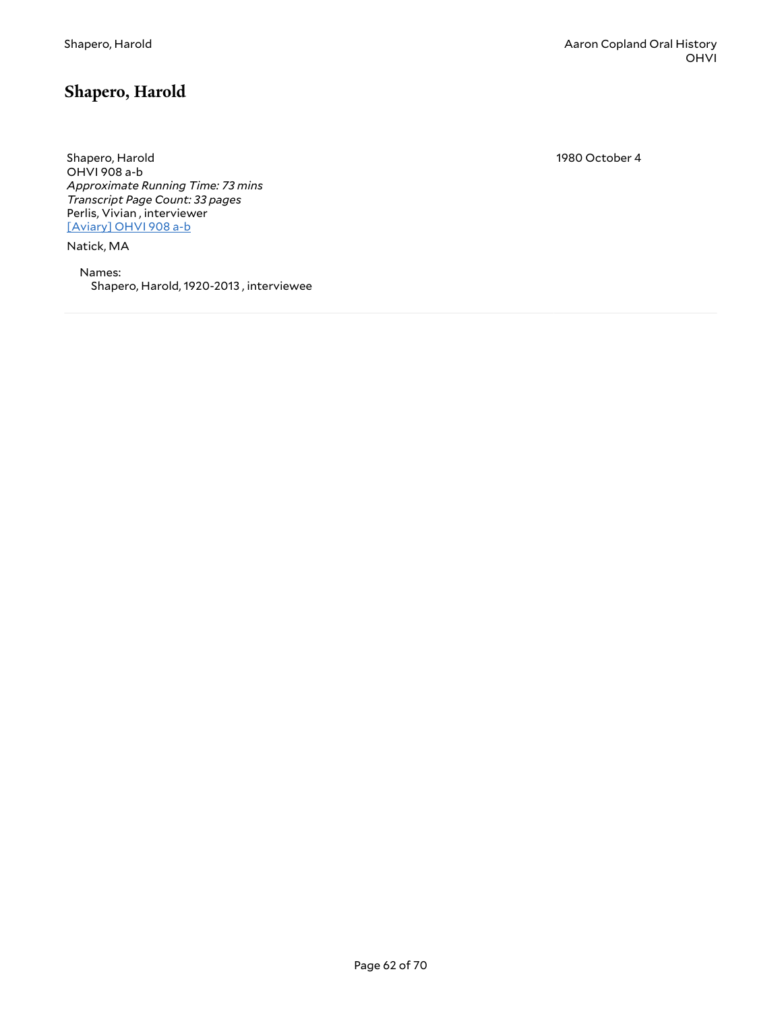#### <span id="page-61-0"></span>**Shapero, Harold**

Shapero, Harold OHVI 908 a-b *Approximate Running Time: 73 mins Transcript Page Count: 33 pages* Perlis, Vivian , interviewer [\[Aviary\]](https://yalemusiclib.aviaryplatform.com/r/v97zk55w7k) OHVI 908 a-b

Natick, MA

Names: Shapero, Harold, 1920-2013 , interviewee 1980 October 4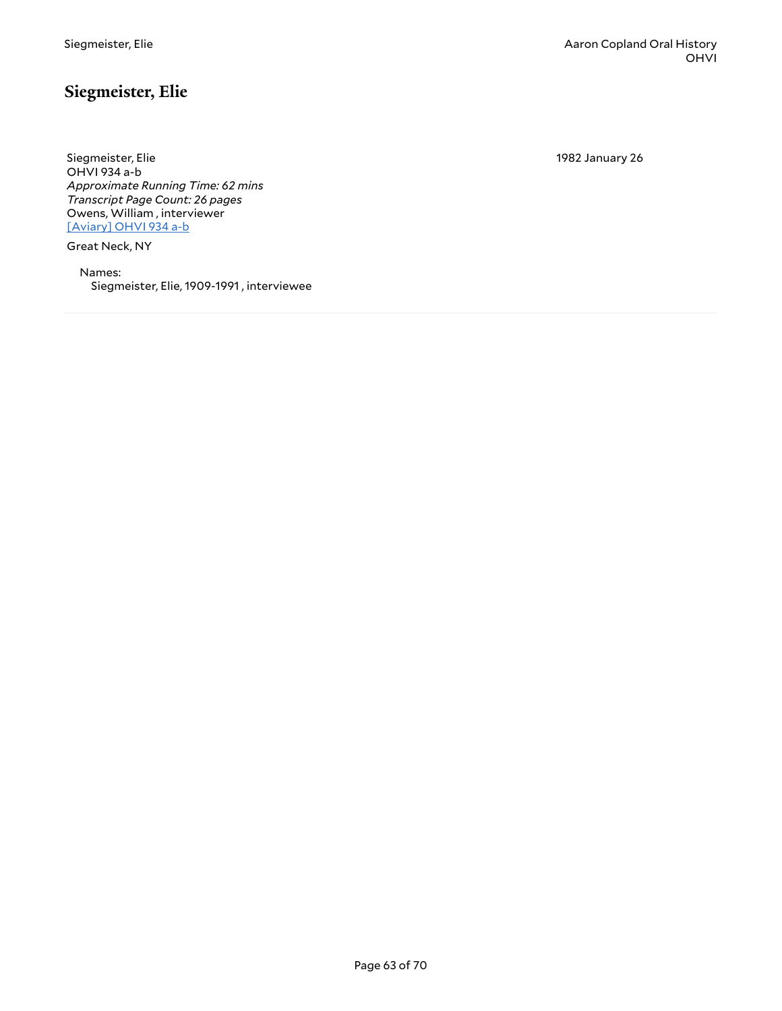## <span id="page-62-0"></span>**Siegmeister, Elie**

Siegmeister, Elie OHVI 934 a-b *Approximate Running Time: 62 mins Transcript Page Count: 26 pages* Owens, William , interviewer [\[Aviary\]](https://yalemusiclib.aviaryplatform.com/r/5m6251fq5v) OHVI 934 a-b

Great Neck, NY

Names: Siegmeister, Elie, 1909-1991 , interviewee 1982 January 26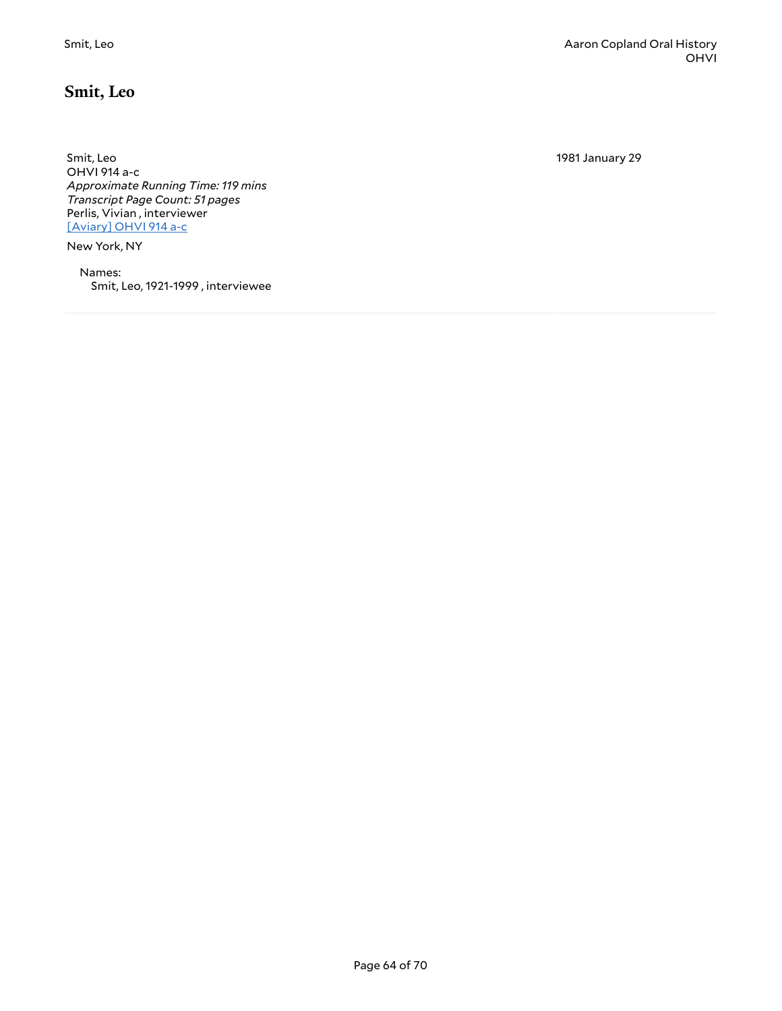1981 January 29

<span id="page-63-0"></span>Smit, Leo OHVI 914 a-c *Approximate Running Time: 119 mins Transcript Page Count: 51 pages* Perlis, Vivian , interviewer [\[Aviary\]](https://yalemusiclib.aviaryplatform.com/r/th8bg2hq5v) OHVI 914 a-c

New York, NY

Names: Smit, Leo, 1921-1999 , interviewee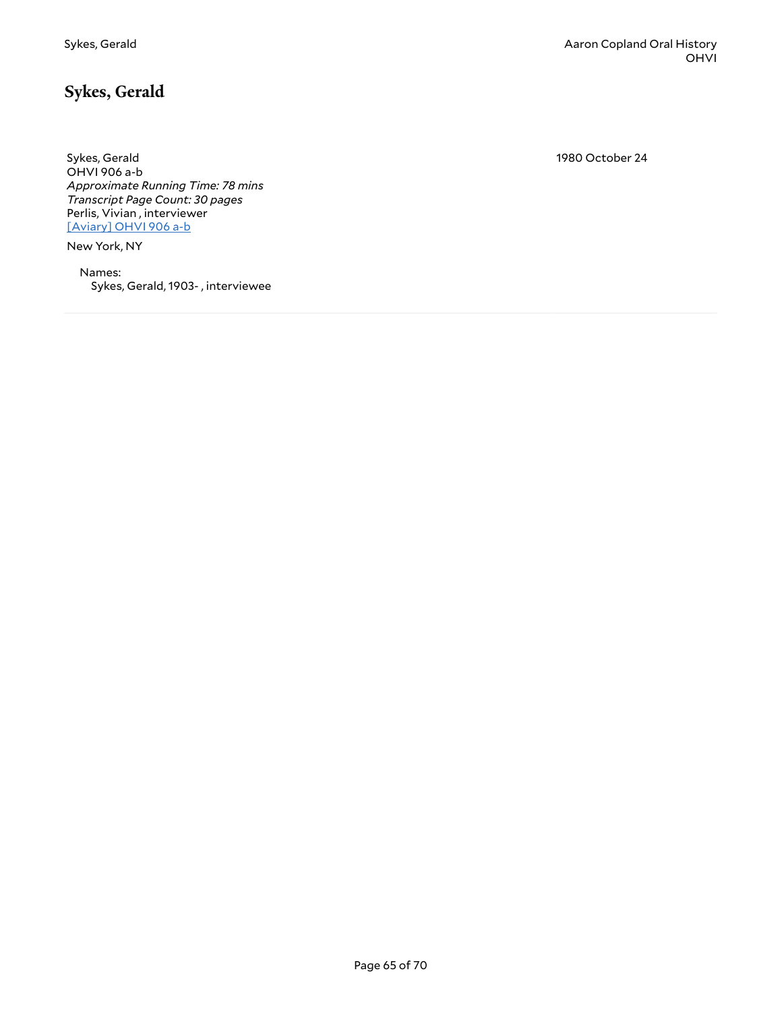1980 October 24

<span id="page-64-0"></span>Sykes, Gerald OHVI 906 a-b *Approximate Running Time: 78 mins Transcript Page Count: 30 pages* Perlis, Vivian , interviewer [\[Aviary\]](https://yalemusiclib.aviaryplatform.com/r/zg6g15tq8r) OHVI 906 a-b

New York, NY

Names: Sykes, Gerald, 1903- , interviewee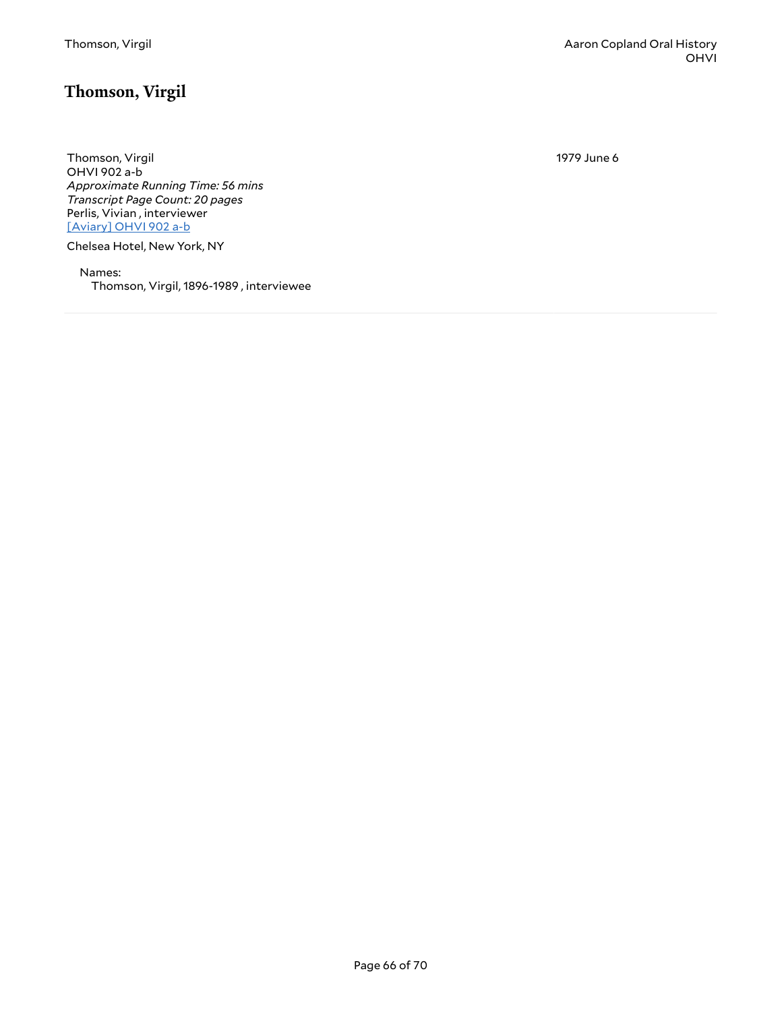# <span id="page-65-0"></span>**Thomson, Virgil**

Thomson, Virgil OHVI 902 a-b *Approximate Running Time: 56 mins Transcript Page Count: 20 pages* Perlis, Vivian , interviewer [\[Aviary\]](https://yalemusiclib.aviaryplatform.com/r/hx15m62h4c) OHVI 902 a-b

Chelsea Hotel, New York, NY

Names: Thomson, Virgil, 1896-1989 , interviewee 1979 June 6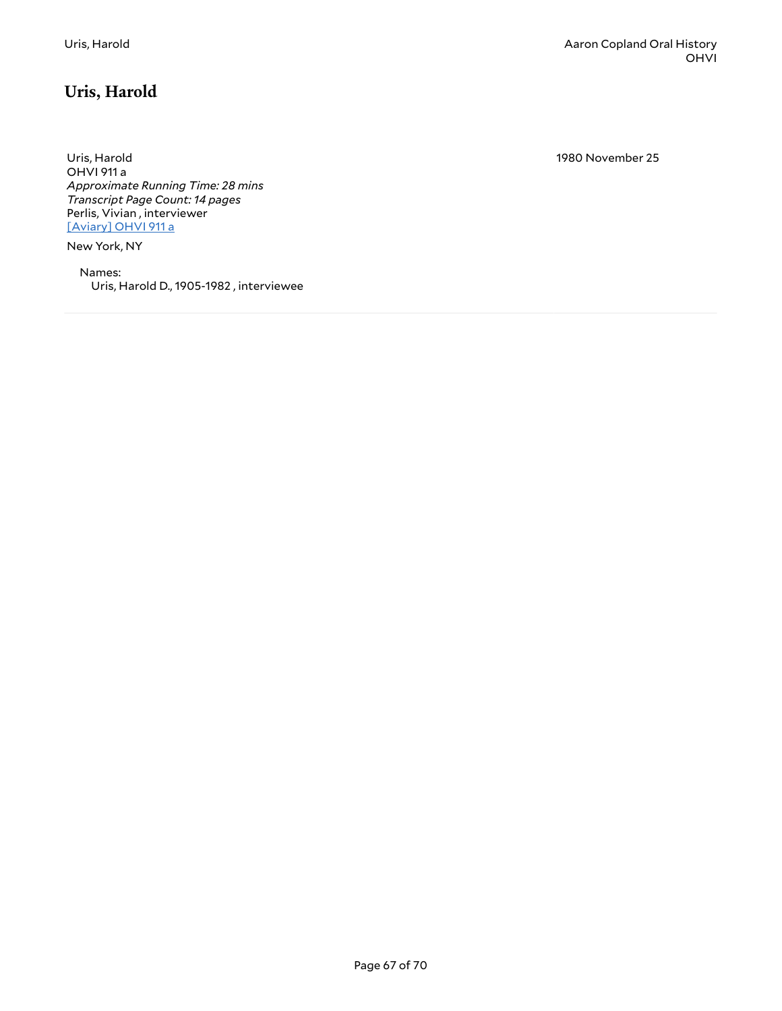# <span id="page-66-0"></span>**Uris, Harold**

Uris, Harold OHVI 911 a *Approximate Running Time: 28 mins Transcript Page Count: 14 pages* Perlis, Vivian , interviewer [\[Aviary\]](https://yalemusiclib.aviaryplatform.com/r/9g5gb1xp29) OHVI 911 a

New York, NY

Names: Uris, Harold D., 1905-1982 , interviewee 1980 November 25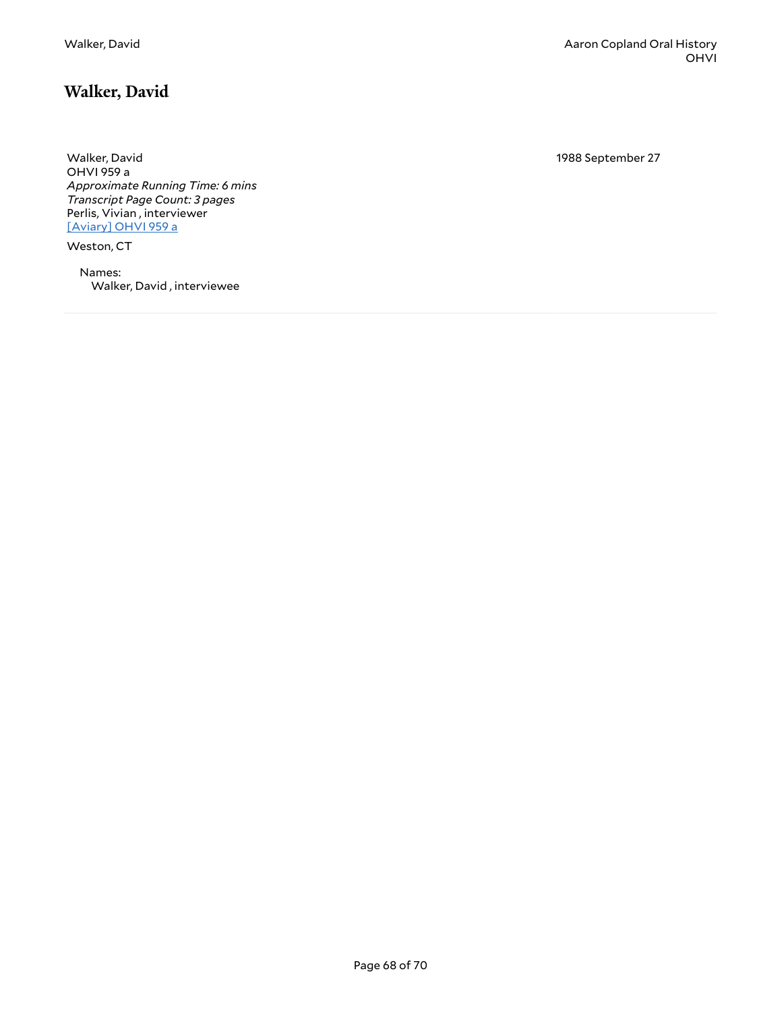#### <span id="page-67-0"></span>**Walker, David**

Walker, David OHVI 959 a *Approximate Running Time: 6 mins Transcript Page Count: 3 pages* Perlis, Vivian , interviewer [\[Aviary\]](https://yalemusiclib.aviaryplatform.com/r/4j09w0920p) OHVI 959 a

Weston, CT

Names: Walker, David , interviewee 1988 September 27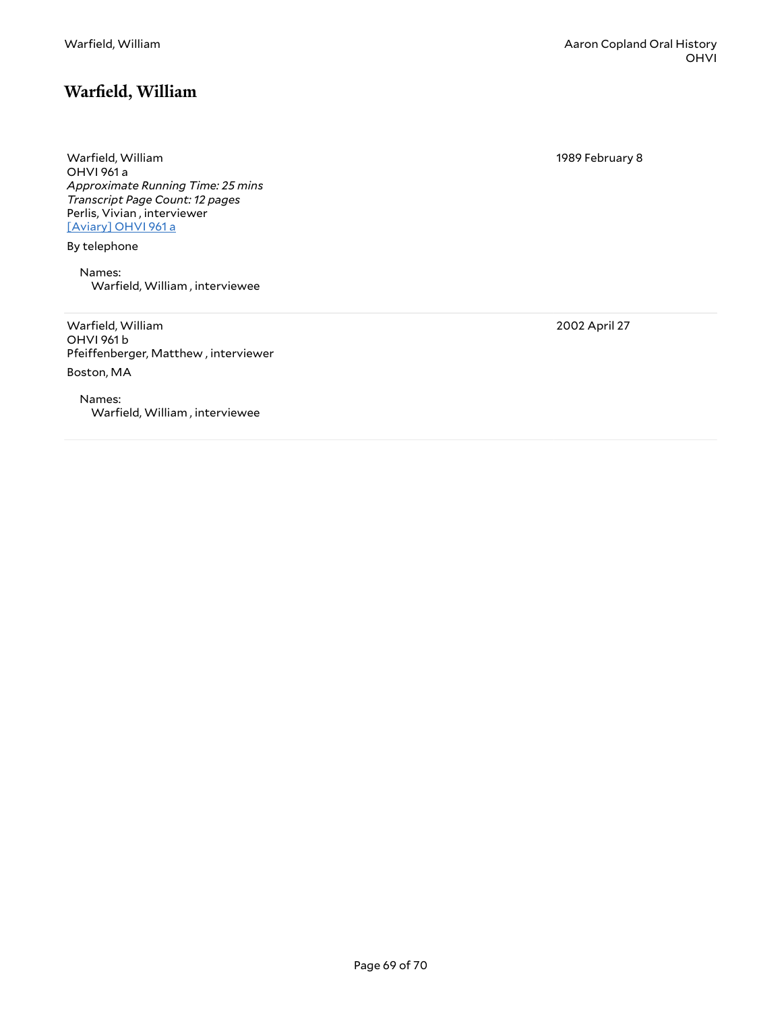#### <span id="page-68-0"></span>**Warfield, William**

1989 February 8

Warfield, William OHVI 961 a *Approximate Running Time: 25 mins Transcript Page Count: 12 pages* Perlis, Vivian , interviewer [\[Aviary\]](https://yalemusiclib.aviaryplatform.com/r/707wm13t8p) OHVI 961 a

By telephone

Names: Warfield, William , interviewee

Warfield, William OHVI 961 b Pfeiffenberger, Matthew, interviewer Boston, MA

Names: Warfield, William , interviewee 2002 April 27